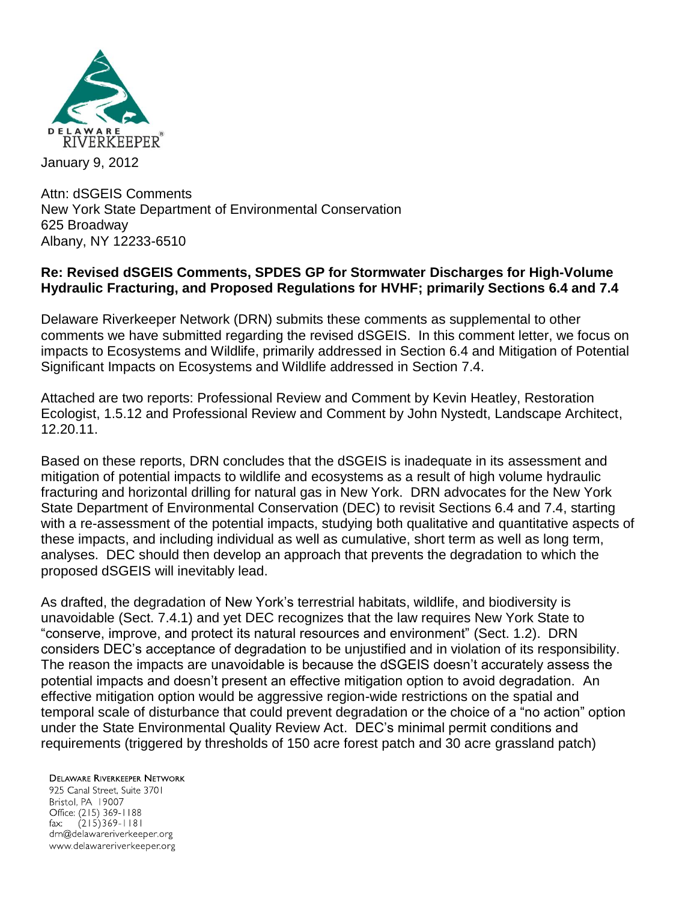

Attn: dSGEIS Comments New York State Department of Environmental Conservation 625 Broadway Albany, NY 12233-6510

## **Re: Revised dSGEIS Comments, SPDES GP for Stormwater Discharges for High-Volume Hydraulic Fracturing, and Proposed Regulations for HVHF; primarily Sections 6.4 and 7.4**

Delaware Riverkeeper Network (DRN) submits these comments as supplemental to other comments we have submitted regarding the revised dSGEIS. In this comment letter, we focus on impacts to Ecosystems and Wildlife, primarily addressed in Section 6.4 and Mitigation of Potential Significant Impacts on Ecosystems and Wildlife addressed in Section 7.4.

Attached are two reports: Professional Review and Comment by Kevin Heatley, Restoration Ecologist, 1.5.12 and Professional Review and Comment by John Nystedt, Landscape Architect, 12.20.11.

Based on these reports, DRN concludes that the dSGEIS is inadequate in its assessment and mitigation of potential impacts to wildlife and ecosystems as a result of high volume hydraulic fracturing and horizontal drilling for natural gas in New York. DRN advocates for the New York State Department of Environmental Conservation (DEC) to revisit Sections 6.4 and 7.4, starting with a re-assessment of the potential impacts, studying both qualitative and quantitative aspects of these impacts, and including individual as well as cumulative, short term as well as long term, analyses. DEC should then develop an approach that prevents the degradation to which the proposed dSGEIS will inevitably lead.

As drafted, the degradation of New York's terrestrial habitats, wildlife, and biodiversity is unavoidable (Sect. 7.4.1) and yet DEC recognizes that the law requires New York State to "conserve, improve, and protect its natural resources and environment" (Sect. 1.2). DRN considers DEC's acceptance of degradation to be unjustified and in violation of its responsibility. The reason the impacts are unavoidable is because the dSGEIS doesn't accurately assess the potential impacts and doesn't present an effective mitigation option to avoid degradation. An effective mitigation option would be aggressive region-wide restrictions on the spatial and temporal scale of disturbance that could prevent degradation or the choice of a "no action" option under the State Environmental Quality Review Act. DEC's minimal permit conditions and requirements (triggered by thresholds of 150 acre forest patch and 30 acre grassland patch)

**DELAWARE RIVERKEEPER NETWORK** 925 Canal Street, Suite 3701 Bristol, PA 19007 Office: (215) 369-1188 fax:  $(215)369 - 1181$ drn@delawareriverkeeper.org www.delawareriverkeeper.org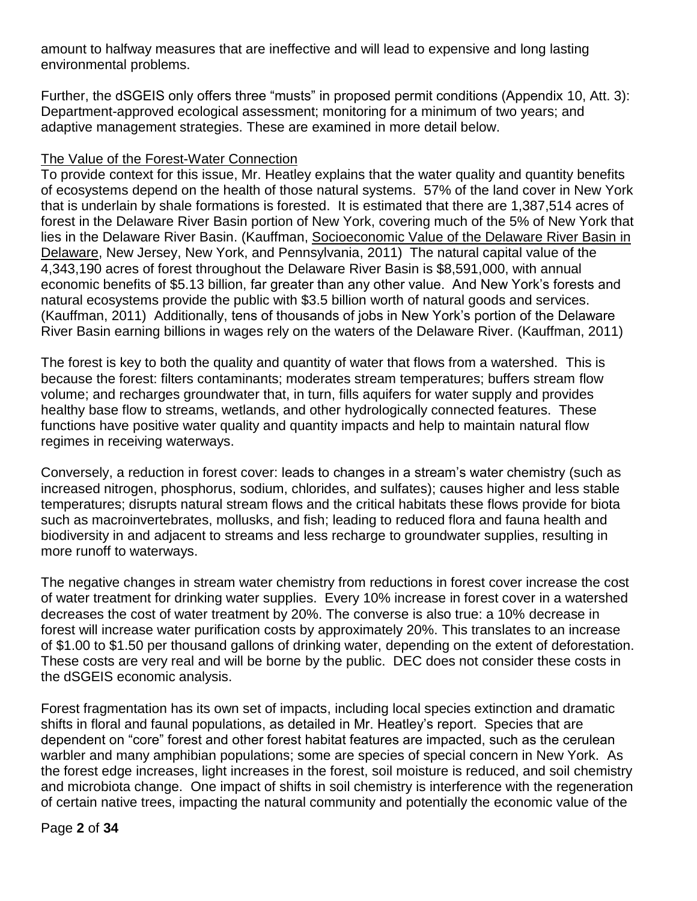amount to halfway measures that are ineffective and will lead to expensive and long lasting environmental problems.

Further, the dSGEIS only offers three "musts" in proposed permit conditions (Appendix 10, Att. 3): Department-approved ecological assessment; monitoring for a minimum of two years; and adaptive management strategies. These are examined in more detail below.

## The Value of the Forest-Water Connection

To provide context for this issue, Mr. Heatley explains that the water quality and quantity benefits of ecosystems depend on the health of those natural systems. 57% of the land cover in New York that is underlain by shale formations is forested. It is estimated that there are 1,387,514 acres of forest in the Delaware River Basin portion of New York, covering much of the 5% of New York that lies in the Delaware River Basin. (Kauffman, Socioeconomic Value of the Delaware River Basin in Delaware, New Jersey, New York, and Pennsylvania, 2011) The natural capital value of the 4,343,190 acres of forest throughout the Delaware River Basin is \$8,591,000, with annual economic benefits of \$5.13 billion, far greater than any other value. And New York's forests and natural ecosystems provide the public with \$3.5 billion worth of natural goods and services. (Kauffman, 2011) Additionally, tens of thousands of jobs in New York's portion of the Delaware River Basin earning billions in wages rely on the waters of the Delaware River. (Kauffman, 2011)

The forest is key to both the quality and quantity of water that flows from a watershed. This is because the forest: filters contaminants; moderates stream temperatures; buffers stream flow volume; and recharges groundwater that, in turn, fills aquifers for water supply and provides healthy base flow to streams, wetlands, and other hydrologically connected features. These functions have positive water quality and quantity impacts and help to maintain natural flow regimes in receiving waterways.

Conversely, a reduction in forest cover: leads to changes in a stream's water chemistry (such as increased nitrogen, phosphorus, sodium, chlorides, and sulfates); causes higher and less stable temperatures; disrupts natural stream flows and the critical habitats these flows provide for biota such as macroinvertebrates, mollusks, and fish; leading to reduced flora and fauna health and biodiversity in and adjacent to streams and less recharge to groundwater supplies, resulting in more runoff to waterways.

The negative changes in stream water chemistry from reductions in forest cover increase the cost of water treatment for drinking water supplies. Every 10% increase in forest cover in a watershed decreases the cost of water treatment by 20%. The converse is also true: a 10% decrease in forest will increase water purification costs by approximately 20%. This translates to an increase of \$1.00 to \$1.50 per thousand gallons of drinking water, depending on the extent of deforestation. These costs are very real and will be borne by the public. DEC does not consider these costs in the dSGEIS economic analysis.

Forest fragmentation has its own set of impacts, including local species extinction and dramatic shifts in floral and faunal populations, as detailed in Mr. Heatley's report. Species that are dependent on "core" forest and other forest habitat features are impacted, such as the cerulean warbler and many amphibian populations; some are species of special concern in New York. As the forest edge increases, light increases in the forest, soil moisture is reduced, and soil chemistry and microbiota change. One impact of shifts in soil chemistry is interference with the regeneration of certain native trees, impacting the natural community and potentially the economic value of the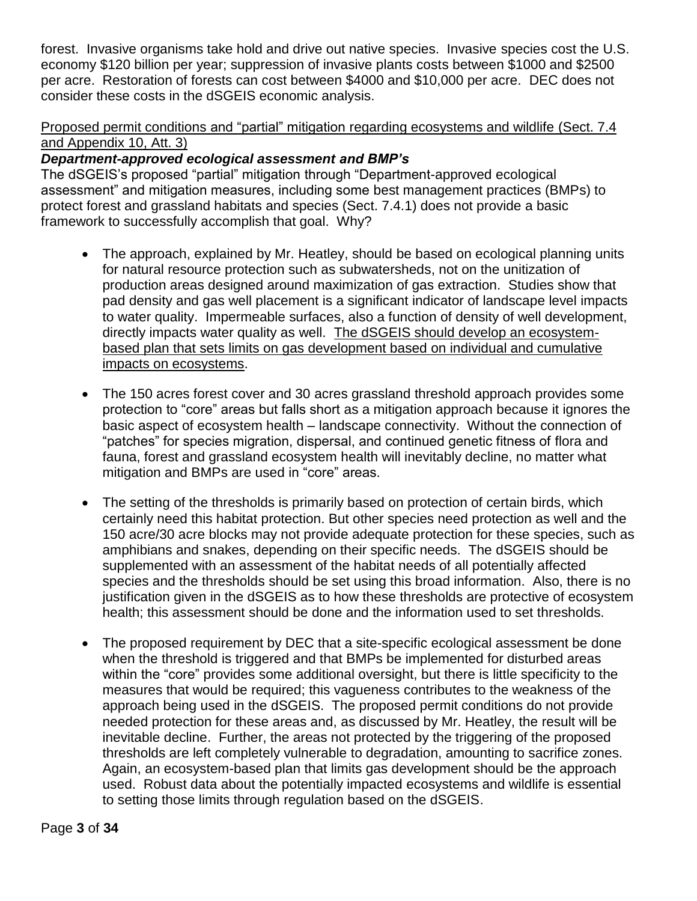forest. Invasive organisms take hold and drive out native species. Invasive species cost the U.S. economy \$120 billion per year; suppression of invasive plants costs between \$1000 and \$2500 per acre. Restoration of forests can cost between \$4000 and \$10,000 per acre. DEC does not consider these costs in the dSGEIS economic analysis.

# Proposed permit conditions and "partial" mitigation regarding ecosystems and wildlife (Sect. 7.4 and Appendix 10, Att. 3)

# *Department-approved ecological assessment and BMP's*

The dSGEIS's proposed "partial" mitigation through "Department-approved ecological assessment" and mitigation measures, including some best management practices (BMPs) to protect forest and grassland habitats and species (Sect. 7.4.1) does not provide a basic framework to successfully accomplish that goal. Why?

- The approach, explained by Mr. Heatley, should be based on ecological planning units for natural resource protection such as subwatersheds, not on the unitization of production areas designed around maximization of gas extraction. Studies show that pad density and gas well placement is a significant indicator of landscape level impacts to water quality. Impermeable surfaces, also a function of density of well development, directly impacts water quality as well. The dSGEIS should develop an ecosystembased plan that sets limits on gas development based on individual and cumulative impacts on ecosystems.
- The 150 acres forest cover and 30 acres grassland threshold approach provides some protection to "core" areas but falls short as a mitigation approach because it ignores the basic aspect of ecosystem health – landscape connectivity. Without the connection of "patches" for species migration, dispersal, and continued genetic fitness of flora and fauna, forest and grassland ecosystem health will inevitably decline, no matter what mitigation and BMPs are used in "core" areas.
- The setting of the thresholds is primarily based on protection of certain birds, which certainly need this habitat protection. But other species need protection as well and the 150 acre/30 acre blocks may not provide adequate protection for these species, such as amphibians and snakes, depending on their specific needs. The dSGEIS should be supplemented with an assessment of the habitat needs of all potentially affected species and the thresholds should be set using this broad information. Also, there is no justification given in the dSGEIS as to how these thresholds are protective of ecosystem health; this assessment should be done and the information used to set thresholds.
- The proposed requirement by DEC that a site-specific ecological assessment be done when the threshold is triggered and that BMPs be implemented for disturbed areas within the "core" provides some additional oversight, but there is little specificity to the measures that would be required; this vagueness contributes to the weakness of the approach being used in the dSGEIS. The proposed permit conditions do not provide needed protection for these areas and, as discussed by Mr. Heatley, the result will be inevitable decline. Further, the areas not protected by the triggering of the proposed thresholds are left completely vulnerable to degradation, amounting to sacrifice zones. Again, an ecosystem-based plan that limits gas development should be the approach used. Robust data about the potentially impacted ecosystems and wildlife is essential to setting those limits through regulation based on the dSGEIS.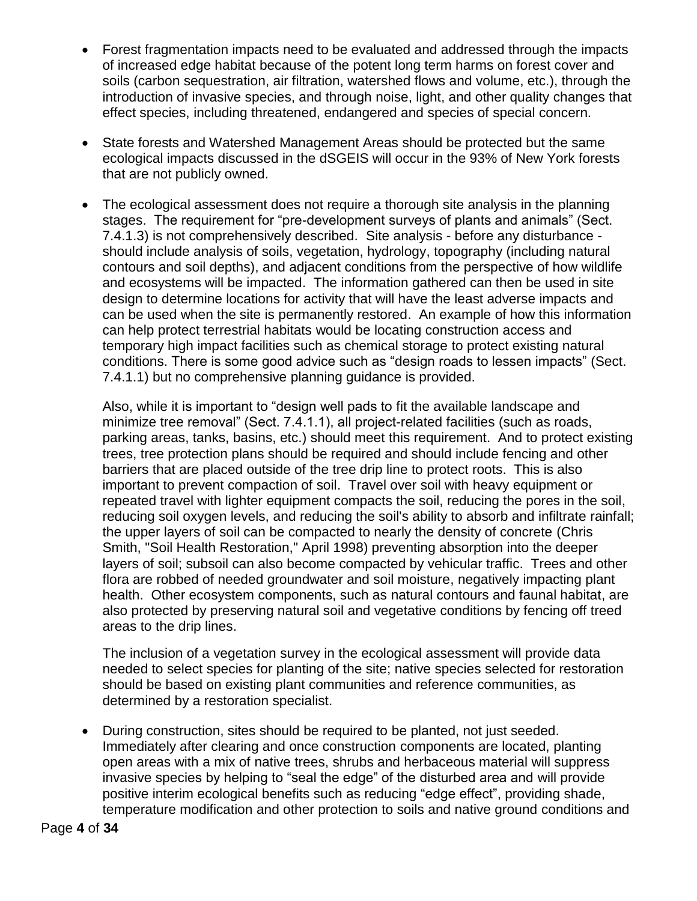- Forest fragmentation impacts need to be evaluated and addressed through the impacts of increased edge habitat because of the potent long term harms on forest cover and soils (carbon sequestration, air filtration, watershed flows and volume, etc.), through the introduction of invasive species, and through noise, light, and other quality changes that effect species, including threatened, endangered and species of special concern.
- State forests and Watershed Management Areas should be protected but the same ecological impacts discussed in the dSGEIS will occur in the 93% of New York forests that are not publicly owned.
- The ecological assessment does not require a thorough site analysis in the planning stages. The requirement for "pre-development surveys of plants and animals" (Sect. 7.4.1.3) is not comprehensively described. Site analysis - before any disturbance should include analysis of soils, vegetation, hydrology, topography (including natural contours and soil depths), and adjacent conditions from the perspective of how wildlife and ecosystems will be impacted. The information gathered can then be used in site design to determine locations for activity that will have the least adverse impacts and can be used when the site is permanently restored. An example of how this information can help protect terrestrial habitats would be locating construction access and temporary high impact facilities such as chemical storage to protect existing natural conditions. There is some good advice such as "design roads to lessen impacts" (Sect. 7.4.1.1) but no comprehensive planning guidance is provided.

Also, while it is important to "design well pads to fit the available landscape and minimize tree removal" (Sect. 7.4.1.1), all project-related facilities (such as roads, parking areas, tanks, basins, etc.) should meet this requirement. And to protect existing trees, tree protection plans should be required and should include fencing and other barriers that are placed outside of the tree drip line to protect roots. This is also important to prevent compaction of soil. Travel over soil with heavy equipment or repeated travel with lighter equipment compacts the soil, reducing the pores in the soil, reducing soil oxygen levels, and reducing the soil's ability to absorb and infiltrate rainfall; the upper layers of soil can be compacted to nearly the density of concrete (Chris Smith, "Soil Health Restoration," April 1998) preventing absorption into the deeper layers of soil; subsoil can also become compacted by vehicular traffic. Trees and other flora are robbed of needed groundwater and soil moisture, negatively impacting plant health. Other ecosystem components, such as natural contours and faunal habitat, are also protected by preserving natural soil and vegetative conditions by fencing off treed areas to the drip lines.

The inclusion of a vegetation survey in the ecological assessment will provide data needed to select species for planting of the site; native species selected for restoration should be based on existing plant communities and reference communities, as determined by a restoration specialist.

 During construction, sites should be required to be planted, not just seeded. Immediately after clearing and once construction components are located, planting open areas with a mix of native trees, shrubs and herbaceous material will suppress invasive species by helping to "seal the edge" of the disturbed area and will provide positive interim ecological benefits such as reducing "edge effect", providing shade, temperature modification and other protection to soils and native ground conditions and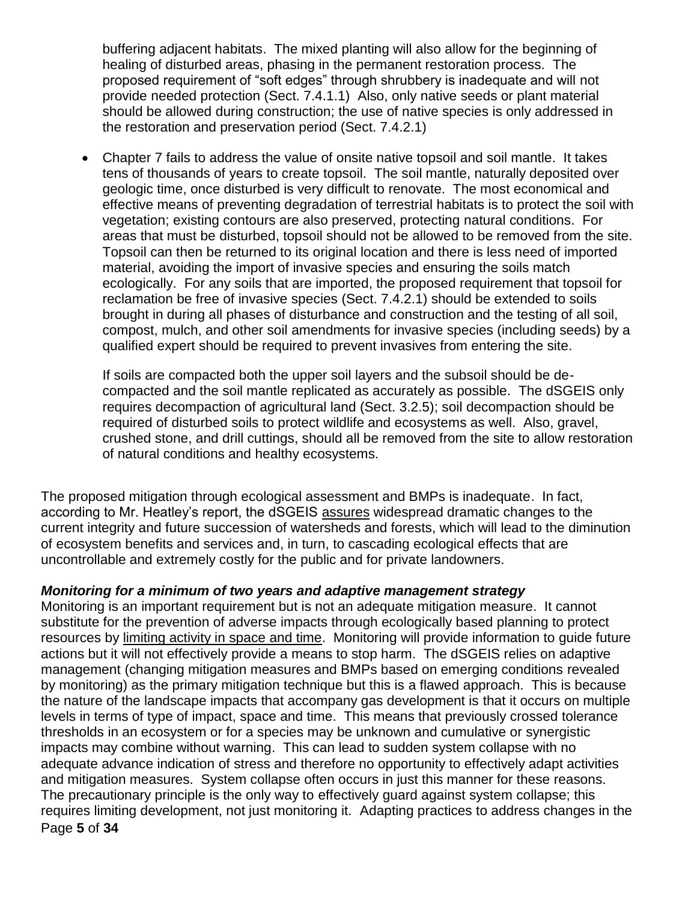buffering adjacent habitats. The mixed planting will also allow for the beginning of healing of disturbed areas, phasing in the permanent restoration process. The proposed requirement of "soft edges" through shrubbery is inadequate and will not provide needed protection (Sect. 7.4.1.1) Also, only native seeds or plant material should be allowed during construction; the use of native species is only addressed in the restoration and preservation period (Sect. 7.4.2.1)

 Chapter 7 fails to address the value of onsite native topsoil and soil mantle. It takes tens of thousands of years to create topsoil. The soil mantle, naturally deposited over geologic time, once disturbed is very difficult to renovate. The most economical and effective means of preventing degradation of terrestrial habitats is to protect the soil with vegetation; existing contours are also preserved, protecting natural conditions. For areas that must be disturbed, topsoil should not be allowed to be removed from the site. Topsoil can then be returned to its original location and there is less need of imported material, avoiding the import of invasive species and ensuring the soils match ecologically. For any soils that are imported, the proposed requirement that topsoil for reclamation be free of invasive species (Sect. 7.4.2.1) should be extended to soils brought in during all phases of disturbance and construction and the testing of all soil, compost, mulch, and other soil amendments for invasive species (including seeds) by a qualified expert should be required to prevent invasives from entering the site.

If soils are compacted both the upper soil layers and the subsoil should be decompacted and the soil mantle replicated as accurately as possible. The dSGEIS only requires decompaction of agricultural land (Sect. 3.2.5); soil decompaction should be required of disturbed soils to protect wildlife and ecosystems as well. Also, gravel, crushed stone, and drill cuttings, should all be removed from the site to allow restoration of natural conditions and healthy ecosystems.

The proposed mitigation through ecological assessment and BMPs is inadequate. In fact, according to Mr. Heatley's report, the dSGEIS assures widespread dramatic changes to the current integrity and future succession of watersheds and forests, which will lead to the diminution of ecosystem benefits and services and, in turn, to cascading ecological effects that are uncontrollable and extremely costly for the public and for private landowners.

# *Monitoring for a minimum of two years and adaptive management strategy*

Page **5** of **34** Monitoring is an important requirement but is not an adequate mitigation measure. It cannot substitute for the prevention of adverse impacts through ecologically based planning to protect resources by limiting activity in space and time. Monitoring will provide information to guide future actions but it will not effectively provide a means to stop harm. The dSGEIS relies on adaptive management (changing mitigation measures and BMPs based on emerging conditions revealed by monitoring) as the primary mitigation technique but this is a flawed approach. This is because the nature of the landscape impacts that accompany gas development is that it occurs on multiple levels in terms of type of impact, space and time. This means that previously crossed tolerance thresholds in an ecosystem or for a species may be unknown and cumulative or synergistic impacts may combine without warning. This can lead to sudden system collapse with no adequate advance indication of stress and therefore no opportunity to effectively adapt activities and mitigation measures. System collapse often occurs in just this manner for these reasons. The precautionary principle is the only way to effectively guard against system collapse; this requires limiting development, not just monitoring it. Adapting practices to address changes in the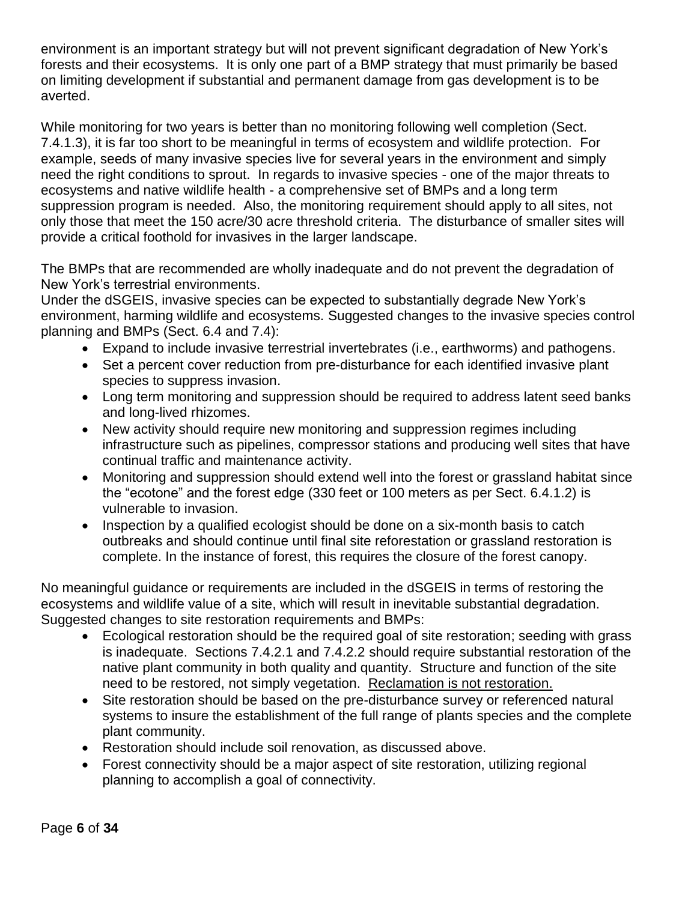environment is an important strategy but will not prevent significant degradation of New York's forests and their ecosystems. It is only one part of a BMP strategy that must primarily be based on limiting development if substantial and permanent damage from gas development is to be averted.

While monitoring for two years is better than no monitoring following well completion (Sect. 7.4.1.3), it is far too short to be meaningful in terms of ecosystem and wildlife protection. For example, seeds of many invasive species live for several years in the environment and simply need the right conditions to sprout. In regards to invasive species - one of the major threats to ecosystems and native wildlife health - a comprehensive set of BMPs and a long term suppression program is needed. Also, the monitoring requirement should apply to all sites, not only those that meet the 150 acre/30 acre threshold criteria. The disturbance of smaller sites will provide a critical foothold for invasives in the larger landscape.

The BMPs that are recommended are wholly inadequate and do not prevent the degradation of New York's terrestrial environments.

Under the dSGEIS, invasive species can be expected to substantially degrade New York's environment, harming wildlife and ecosystems. Suggested changes to the invasive species control planning and BMPs (Sect. 6.4 and 7.4):

- Expand to include invasive terrestrial invertebrates (i.e., earthworms) and pathogens.
- Set a percent cover reduction from pre-disturbance for each identified invasive plant species to suppress invasion.
- Long term monitoring and suppression should be required to address latent seed banks and long-lived rhizomes.
- New activity should require new monitoring and suppression regimes including infrastructure such as pipelines, compressor stations and producing well sites that have continual traffic and maintenance activity.
- Monitoring and suppression should extend well into the forest or grassland habitat since the "ecotone" and the forest edge (330 feet or 100 meters as per Sect. 6.4.1.2) is vulnerable to invasion.
- Inspection by a qualified ecologist should be done on a six-month basis to catch outbreaks and should continue until final site reforestation or grassland restoration is complete. In the instance of forest, this requires the closure of the forest canopy.

No meaningful guidance or requirements are included in the dSGEIS in terms of restoring the ecosystems and wildlife value of a site, which will result in inevitable substantial degradation. Suggested changes to site restoration requirements and BMPs:

- Ecological restoration should be the required goal of site restoration; seeding with grass is inadequate. Sections 7.4.2.1 and 7.4.2.2 should require substantial restoration of the native plant community in both quality and quantity. Structure and function of the site need to be restored, not simply vegetation. Reclamation is not restoration.
- Site restoration should be based on the pre-disturbance survey or referenced natural systems to insure the establishment of the full range of plants species and the complete plant community.
- Restoration should include soil renovation, as discussed above.
- Forest connectivity should be a major aspect of site restoration, utilizing regional planning to accomplish a goal of connectivity.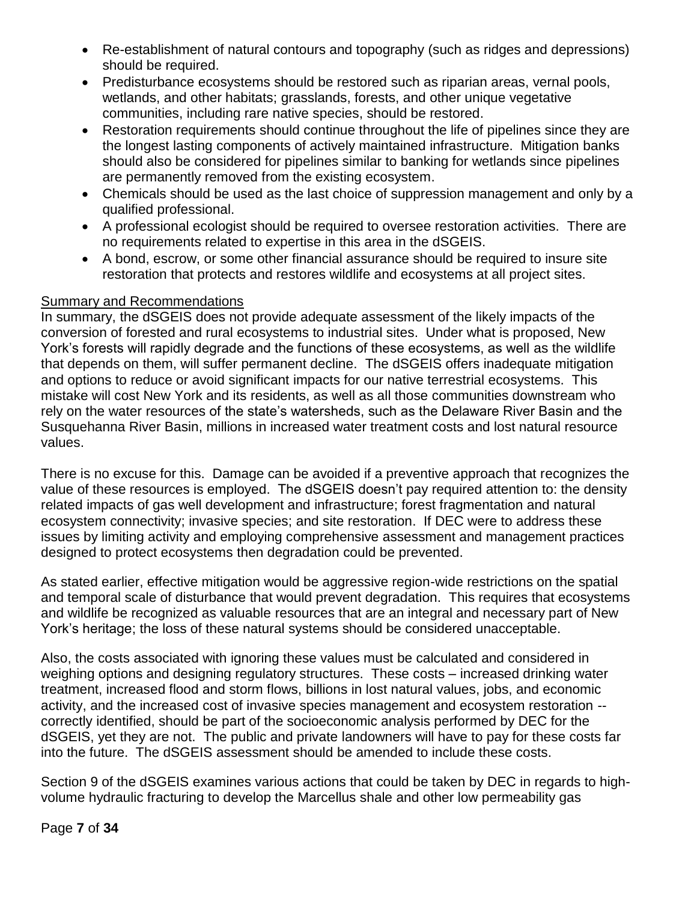- Re-establishment of natural contours and topography (such as ridges and depressions) should be required.
- Predisturbance ecosystems should be restored such as riparian areas, vernal pools, wetlands, and other habitats; grasslands, forests, and other unique vegetative communities, including rare native species, should be restored.
- Restoration requirements should continue throughout the life of pipelines since they are the longest lasting components of actively maintained infrastructure. Mitigation banks should also be considered for pipelines similar to banking for wetlands since pipelines are permanently removed from the existing ecosystem.
- Chemicals should be used as the last choice of suppression management and only by a qualified professional.
- A professional ecologist should be required to oversee restoration activities. There are no requirements related to expertise in this area in the dSGEIS.
- A bond, escrow, or some other financial assurance should be required to insure site restoration that protects and restores wildlife and ecosystems at all project sites.

# Summary and Recommendations

In summary, the dSGEIS does not provide adequate assessment of the likely impacts of the conversion of forested and rural ecosystems to industrial sites. Under what is proposed, New York's forests will rapidly degrade and the functions of these ecosystems, as well as the wildlife that depends on them, will suffer permanent decline. The dSGEIS offers inadequate mitigation and options to reduce or avoid significant impacts for our native terrestrial ecosystems. This mistake will cost New York and its residents, as well as all those communities downstream who rely on the water resources of the state's watersheds, such as the Delaware River Basin and the Susquehanna River Basin, millions in increased water treatment costs and lost natural resource values.

There is no excuse for this. Damage can be avoided if a preventive approach that recognizes the value of these resources is employed. The dSGEIS doesn't pay required attention to: the density related impacts of gas well development and infrastructure; forest fragmentation and natural ecosystem connectivity; invasive species; and site restoration. If DEC were to address these issues by limiting activity and employing comprehensive assessment and management practices designed to protect ecosystems then degradation could be prevented.

As stated earlier, effective mitigation would be aggressive region-wide restrictions on the spatial and temporal scale of disturbance that would prevent degradation. This requires that ecosystems and wildlife be recognized as valuable resources that are an integral and necessary part of New York's heritage; the loss of these natural systems should be considered unacceptable.

Also, the costs associated with ignoring these values must be calculated and considered in weighing options and designing regulatory structures. These costs – increased drinking water treatment, increased flood and storm flows, billions in lost natural values, jobs, and economic activity, and the increased cost of invasive species management and ecosystem restoration - correctly identified, should be part of the socioeconomic analysis performed by DEC for the dSGEIS, yet they are not. The public and private landowners will have to pay for these costs far into the future. The dSGEIS assessment should be amended to include these costs.

Section 9 of the dSGEIS examines various actions that could be taken by DEC in regards to highvolume hydraulic fracturing to develop the Marcellus shale and other low permeability gas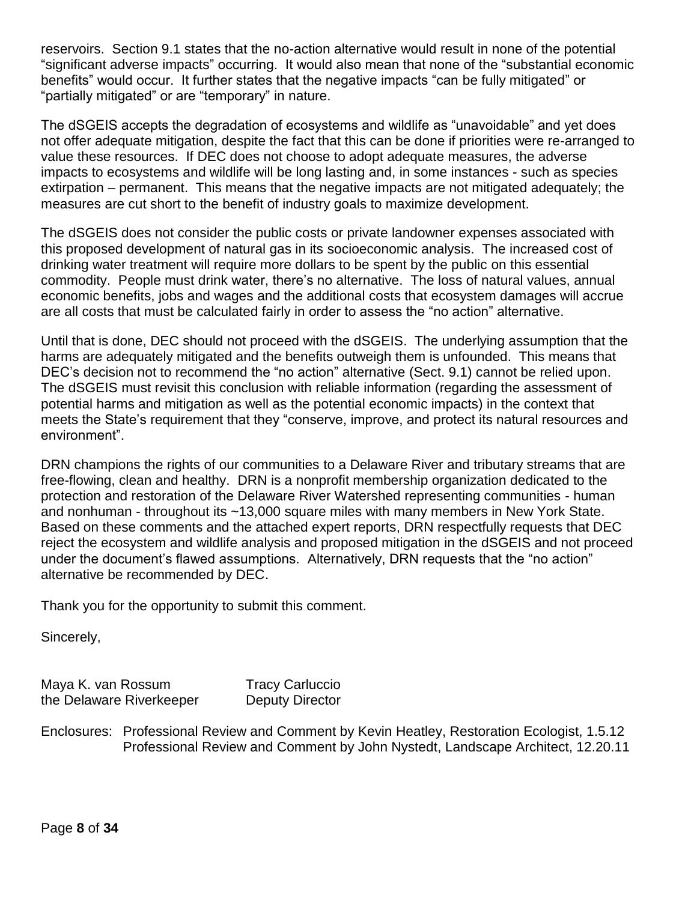reservoirs. Section 9.1 states that the no-action alternative would result in none of the potential "significant adverse impacts" occurring. It would also mean that none of the "substantial economic benefits" would occur. It further states that the negative impacts "can be fully mitigated" or "partially mitigated" or are "temporary" in nature.

The dSGEIS accepts the degradation of ecosystems and wildlife as "unavoidable" and yet does not offer adequate mitigation, despite the fact that this can be done if priorities were re-arranged to value these resources. If DEC does not choose to adopt adequate measures, the adverse impacts to ecosystems and wildlife will be long lasting and, in some instances - such as species extirpation – permanent. This means that the negative impacts are not mitigated adequately; the measures are cut short to the benefit of industry goals to maximize development.

The dSGEIS does not consider the public costs or private landowner expenses associated with this proposed development of natural gas in its socioeconomic analysis. The increased cost of drinking water treatment will require more dollars to be spent by the public on this essential commodity. People must drink water, there's no alternative. The loss of natural values, annual economic benefits, jobs and wages and the additional costs that ecosystem damages will accrue are all costs that must be calculated fairly in order to assess the "no action" alternative.

Until that is done, DEC should not proceed with the dSGEIS. The underlying assumption that the harms are adequately mitigated and the benefits outweigh them is unfounded. This means that DEC's decision not to recommend the "no action" alternative (Sect. 9.1) cannot be relied upon. The dSGEIS must revisit this conclusion with reliable information (regarding the assessment of potential harms and mitigation as well as the potential economic impacts) in the context that meets the State's requirement that they "conserve, improve, and protect its natural resources and environment".

DRN champions the rights of our communities to a Delaware River and tributary streams that are free-flowing, clean and healthy. DRN is a nonprofit membership organization dedicated to the protection and restoration of the Delaware River Watershed representing communities - human and nonhuman - throughout its ~13,000 square miles with many members in New York State. Based on these comments and the attached expert reports, DRN respectfully requests that DEC reject the ecosystem and wildlife analysis and proposed mitigation in the dSGEIS and not proceed under the document's flawed assumptions. Alternatively, DRN requests that the "no action" alternative be recommended by DEC.

Thank you for the opportunity to submit this comment.

Sincerely,

Maya K. van Rossum Tracy Carluccio the Delaware Riverkeeper Deputy Director

Enclosures: Professional Review and Comment by Kevin Heatley, Restoration Ecologist, 1.5.12 Professional Review and Comment by John Nystedt, Landscape Architect, 12.20.11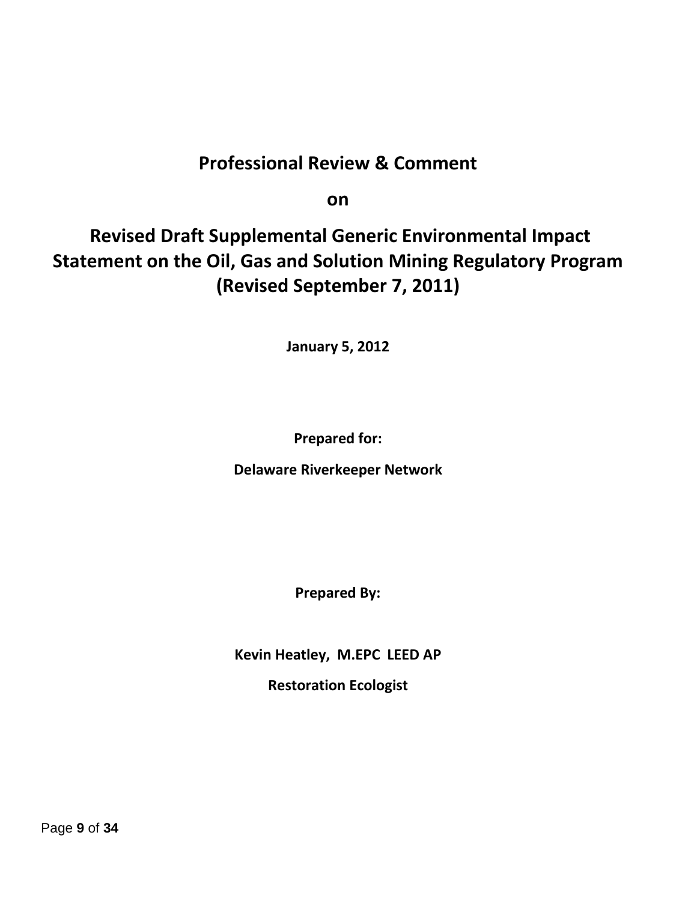# **Professional Review & Comment**

**on**

# **Revised Draft Supplemental Generic Environmental Impact Statement on the Oil, Gas and Solution Mining Regulatory Program (Revised September 7, 2011)**

**January 5, 2012**

**Prepared for:**

**Delaware Riverkeeper Network**

**Prepared By:**

**Kevin Heatley, M.EPC LEED AP**

**Restoration Ecologist**

Page **9** of **34**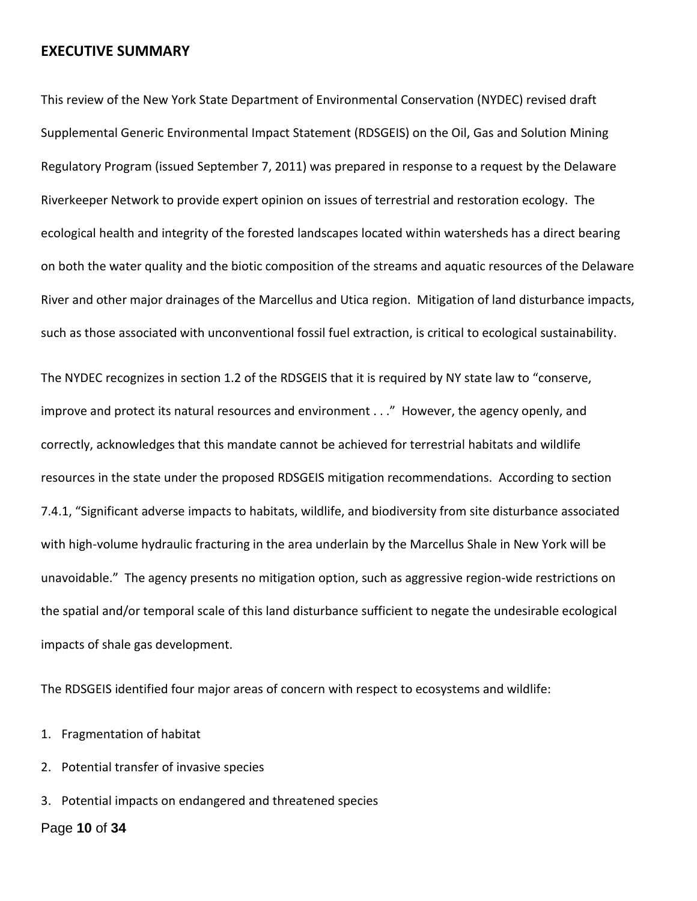## **EXECUTIVE SUMMARY**

This review of the New York State Department of Environmental Conservation (NYDEC) revised draft Supplemental Generic Environmental Impact Statement (RDSGEIS) on the Oil, Gas and Solution Mining Regulatory Program (issued September 7, 2011) was prepared in response to a request by the Delaware Riverkeeper Network to provide expert opinion on issues of terrestrial and restoration ecology. The ecological health and integrity of the forested landscapes located within watersheds has a direct bearing on both the water quality and the biotic composition of the streams and aquatic resources of the Delaware River and other major drainages of the Marcellus and Utica region. Mitigation of land disturbance impacts, such as those associated with unconventional fossil fuel extraction, is critical to ecological sustainability.

The NYDEC recognizes in section 1.2 of the RDSGEIS that it is required by NY state law to "conserve, improve and protect its natural resources and environment . . ." However, the agency openly, and correctly, acknowledges that this mandate cannot be achieved for terrestrial habitats and wildlife resources in the state under the proposed RDSGEIS mitigation recommendations. According to section 7.4.1, "Significant adverse impacts to habitats, wildlife, and biodiversity from site disturbance associated with high-volume hydraulic fracturing in the area underlain by the Marcellus Shale in New York will be unavoidable." The agency presents no mitigation option, such as aggressive region-wide restrictions on the spatial and/or temporal scale of this land disturbance sufficient to negate the undesirable ecological impacts of shale gas development.

The RDSGEIS identified four major areas of concern with respect to ecosystems and wildlife:

- 1. Fragmentation of habitat
- 2. Potential transfer of invasive species
- 3. Potential impacts on endangered and threatened species

### Page **10** of **34**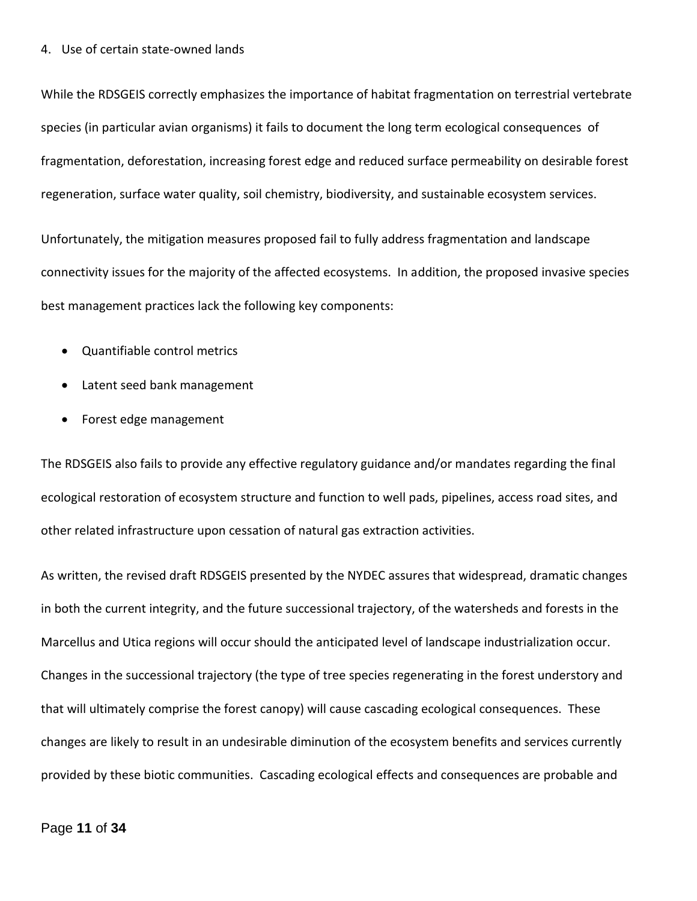#### 4. Use of certain state-owned lands

While the RDSGEIS correctly emphasizes the importance of habitat fragmentation on terrestrial vertebrate species (in particular avian organisms) it fails to document the long term ecological consequences of fragmentation, deforestation, increasing forest edge and reduced surface permeability on desirable forest regeneration, surface water quality, soil chemistry, biodiversity, and sustainable ecosystem services.

Unfortunately, the mitigation measures proposed fail to fully address fragmentation and landscape connectivity issues for the majority of the affected ecosystems. In addition, the proposed invasive species best management practices lack the following key components:

- Quantifiable control metrics
- Latent seed bank management
- Forest edge management

The RDSGEIS also fails to provide any effective regulatory guidance and/or mandates regarding the final ecological restoration of ecosystem structure and function to well pads, pipelines, access road sites, and other related infrastructure upon cessation of natural gas extraction activities.

As written, the revised draft RDSGEIS presented by the NYDEC assures that widespread, dramatic changes in both the current integrity, and the future successional trajectory, of the watersheds and forests in the Marcellus and Utica regions will occur should the anticipated level of landscape industrialization occur. Changes in the successional trajectory (the type of tree species regenerating in the forest understory and that will ultimately comprise the forest canopy) will cause cascading ecological consequences. These changes are likely to result in an undesirable diminution of the ecosystem benefits and services currently provided by these biotic communities. Cascading ecological effects and consequences are probable and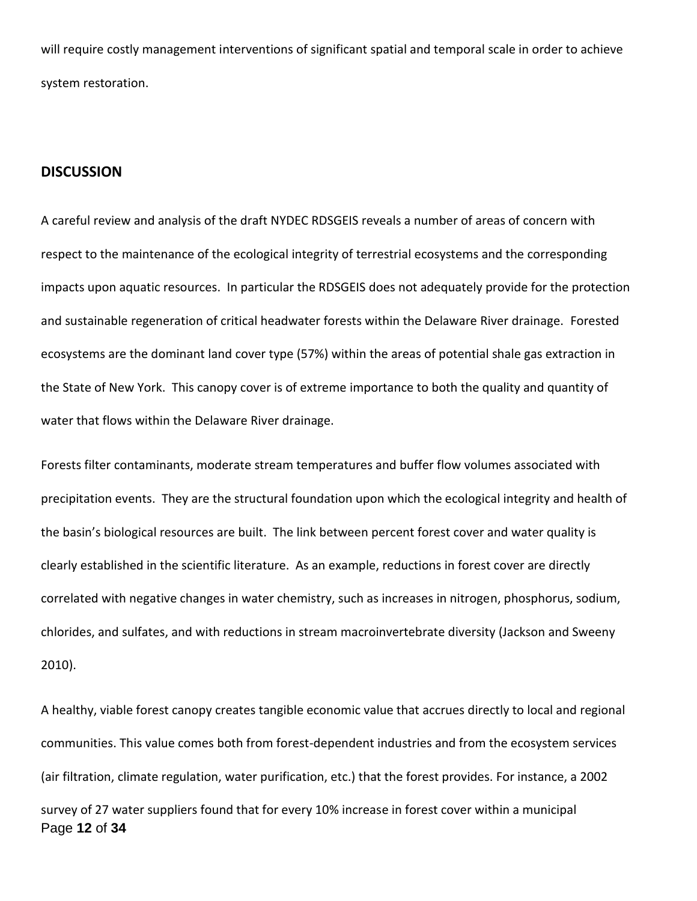will require costly management interventions of significant spatial and temporal scale in order to achieve system restoration.

### **DISCUSSION**

A careful review and analysis of the draft NYDEC RDSGEIS reveals a number of areas of concern with respect to the maintenance of the ecological integrity of terrestrial ecosystems and the corresponding impacts upon aquatic resources. In particular the RDSGEIS does not adequately provide for the protection and sustainable regeneration of critical headwater forests within the Delaware River drainage. Forested ecosystems are the dominant land cover type (57%) within the areas of potential shale gas extraction in the State of New York. This canopy cover is of extreme importance to both the quality and quantity of water that flows within the Delaware River drainage.

Forests filter contaminants, moderate stream temperatures and buffer flow volumes associated with precipitation events. They are the structural foundation upon which the ecological integrity and health of the basin's biological resources are built. The link between percent forest cover and water quality is clearly established in the scientific literature. As an example, reductions in forest cover are directly correlated with negative changes in water chemistry, such as increases in nitrogen, phosphorus, sodium, chlorides, and sulfates, and with reductions in stream macroinvertebrate diversity (Jackson and Sweeny 2010).

Page **12** of **34** A healthy, viable forest canopy creates tangible economic value that accrues directly to local and regional communities. This value comes both from forest-dependent industries and from the ecosystem services (air filtration, climate regulation, water purification, etc.) that the forest provides. For instance, a 2002 survey of 27 water suppliers found that for every 10% increase in forest cover within a municipal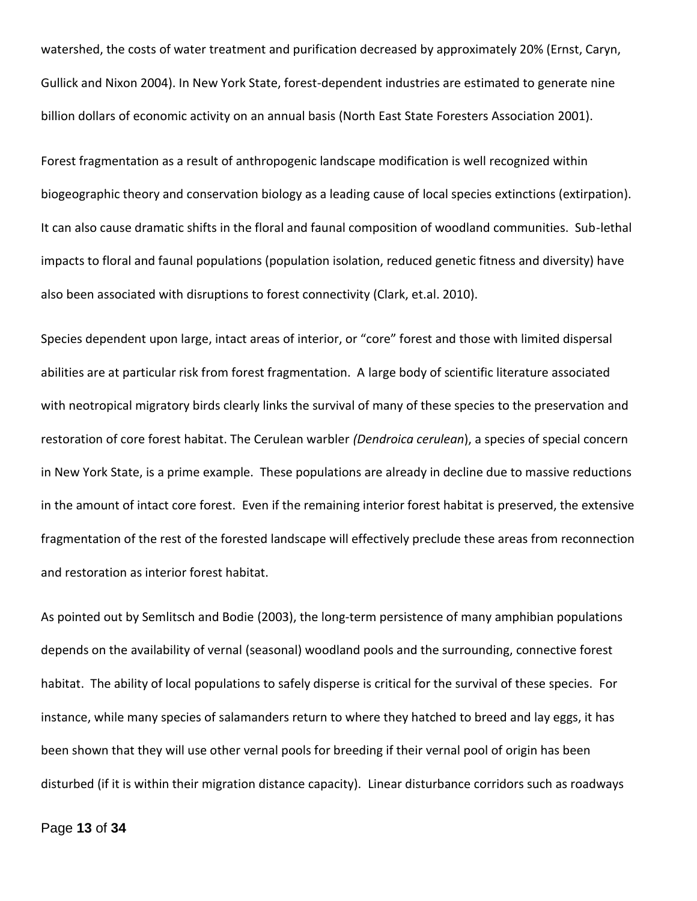watershed, the costs of water treatment and purification decreased by approximately 20% (Ernst, Caryn, Gullick and Nixon 2004). In New York State, forest-dependent industries are estimated to generate nine billion dollars of economic activity on an annual basis (North East State Foresters Association 2001).

Forest fragmentation as a result of anthropogenic landscape modification is well recognized within biogeographic theory and conservation biology as a leading cause of local species extinctions (extirpation). It can also cause dramatic shifts in the floral and faunal composition of woodland communities. Sub-lethal impacts to floral and faunal populations (population isolation, reduced genetic fitness and diversity) have also been associated with disruptions to forest connectivity (Clark, et.al. 2010).

Species dependent upon large, intact areas of interior, or "core" forest and those with limited dispersal abilities are at particular risk from forest fragmentation. A large body of scientific literature associated with neotropical migratory birds clearly links the survival of many of these species to the preservation and restoration of core forest habitat. The Cerulean warbler *(Dendroica cerulean*), a species of special concern in New York State, is a prime example. These populations are already in decline due to massive reductions in the amount of intact core forest. Even if the remaining interior forest habitat is preserved, the extensive fragmentation of the rest of the forested landscape will effectively preclude these areas from reconnection and restoration as interior forest habitat.

As pointed out by Semlitsch and Bodie (2003), the long-term persistence of many amphibian populations depends on the availability of vernal (seasonal) woodland pools and the surrounding, connective forest habitat. The ability of local populations to safely disperse is critical for the survival of these species. For instance, while many species of salamanders return to where they hatched to breed and lay eggs, it has been shown that they will use other vernal pools for breeding if their vernal pool of origin has been disturbed (if it is within their migration distance capacity). Linear disturbance corridors such as roadways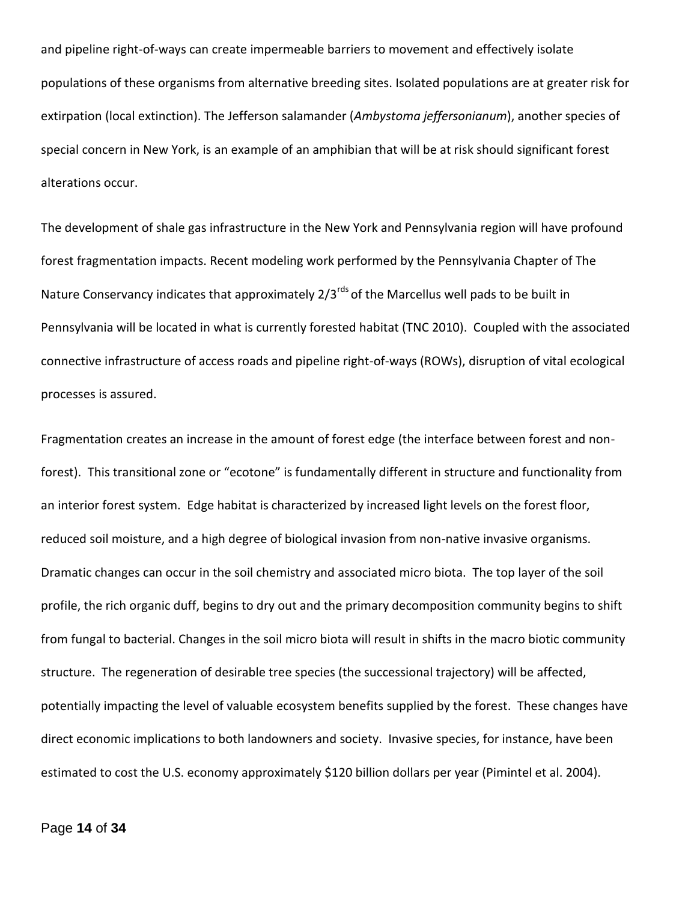and pipeline right-of-ways can create impermeable barriers to movement and effectively isolate populations of these organisms from alternative breeding sites. Isolated populations are at greater risk for extirpation (local extinction). The Jefferson salamander (*Ambystoma jeffersonianum*), another species of special concern in New York, is an example of an amphibian that will be at risk should significant forest alterations occur.

The development of shale gas infrastructure in the New York and Pennsylvania region will have profound forest fragmentation impacts. Recent modeling work performed by the Pennsylvania Chapter of The Nature Conservancy indicates that approximately 2/3<sup>rds</sup> of the Marcellus well pads to be built in Pennsylvania will be located in what is currently forested habitat (TNC 2010). Coupled with the associated connective infrastructure of access roads and pipeline right-of-ways (ROWs), disruption of vital ecological processes is assured.

Fragmentation creates an increase in the amount of forest edge (the interface between forest and nonforest). This transitional zone or "ecotone" is fundamentally different in structure and functionality from an interior forest system. Edge habitat is characterized by increased light levels on the forest floor, reduced soil moisture, and a high degree of biological invasion from non-native invasive organisms. Dramatic changes can occur in the soil chemistry and associated micro biota. The top layer of the soil profile, the rich organic duff, begins to dry out and the primary decomposition community begins to shift from fungal to bacterial. Changes in the soil micro biota will result in shifts in the macro biotic community structure. The regeneration of desirable tree species (the successional trajectory) will be affected, potentially impacting the level of valuable ecosystem benefits supplied by the forest. These changes have direct economic implications to both landowners and society. Invasive species, for instance, have been estimated to cost the U.S. economy approximately \$120 billion dollars per year (Pimintel et al. 2004).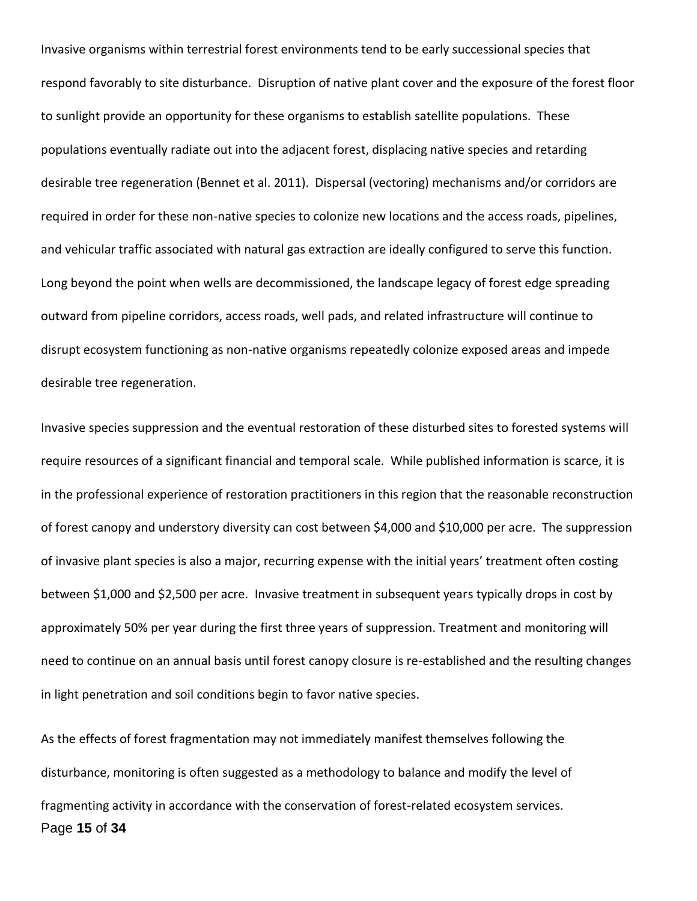Invasive organisms within terrestrial forest environments tend to be early successional species that respond favorably to site disturbance. Disruption of native plant cover and the exposure of the forest floor to sunlight provide an opportunity for these organisms to establish satellite populations. These populations eventually radiate out into the adjacent forest, displacing native species and retarding desirable tree regeneration (Bennet et al. 2011). Dispersal (vectoring) mechanisms and/or corridors are required in order for these non-native species to colonize new locations and the access roads, pipelines, and vehicular traffic associated with natural gas extraction are ideally configured to serve this function. Long beyond the point when wells are decommissioned, the landscape legacy of forest edge spreading outward from pipeline corridors, access roads, well pads, and related infrastructure will continue to disrupt ecosystem functioning as non-native organisms repeatedly colonize exposed areas and impede desirable tree regeneration.

Invasive species suppression and the eventual restoration of these disturbed sites to forested systems will require resources of a significant financial and temporal scale. While published information is scarce, it is in the professional experience of restoration practitioners in this region that the reasonable reconstruction of forest canopy and understory diversity can cost between \$4,000 and \$10,000 per acre. The suppression of invasive plant species is also a major, recurring expense with the initial years' treatment often costing between \$1,000 and \$2,500 per acre. Invasive treatment in subsequent years typically drops in cost by approximately 50% per year during the first three years of suppression. Treatment and monitoring will need to continue on an annual basis until forest canopy closure is re-established and the resulting changes in light penetration and soil conditions begin to favor native species.

Page **15** of **34** As the effects of forest fragmentation may not immediately manifest themselves following the disturbance, monitoring is often suggested as a methodology to balance and modify the level of fragmenting activity in accordance with the conservation of forest-related ecosystem services.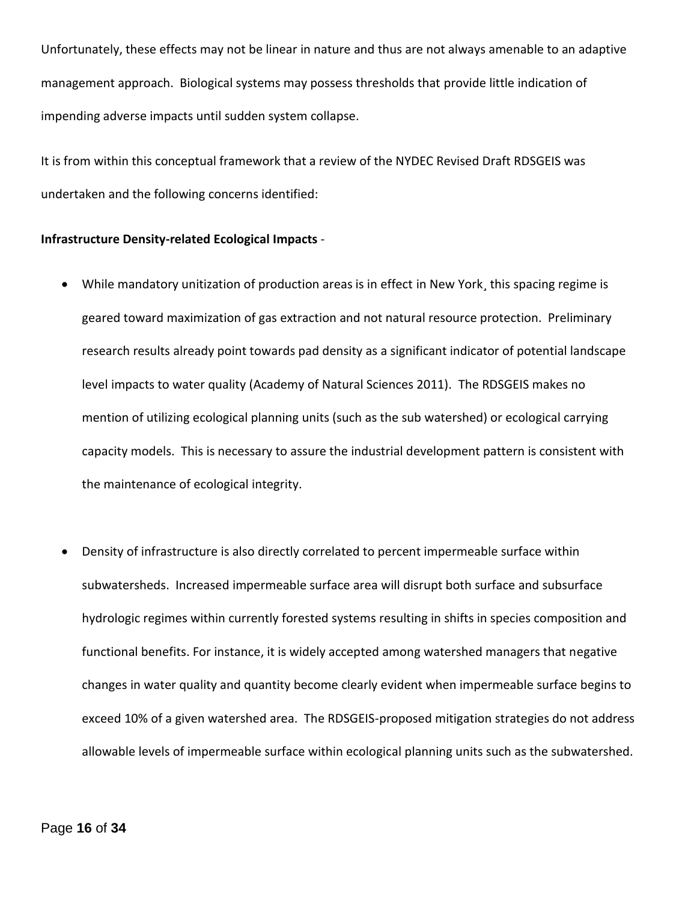Unfortunately, these effects may not be linear in nature and thus are not always amenable to an adaptive management approach. Biological systems may possess thresholds that provide little indication of impending adverse impacts until sudden system collapse.

It is from within this conceptual framework that a review of the NYDEC Revised Draft RDSGEIS was undertaken and the following concerns identified:

#### **Infrastructure Density-related Ecological Impacts** -

- While mandatory unitization of production areas is in effect in New York, this spacing regime is geared toward maximization of gas extraction and not natural resource protection. Preliminary research results already point towards pad density as a significant indicator of potential landscape level impacts to water quality (Academy of Natural Sciences 2011). The RDSGEIS makes no mention of utilizing ecological planning units (such as the sub watershed) or ecological carrying capacity models. This is necessary to assure the industrial development pattern is consistent with the maintenance of ecological integrity.
- Density of infrastructure is also directly correlated to percent impermeable surface within subwatersheds. Increased impermeable surface area will disrupt both surface and subsurface hydrologic regimes within currently forested systems resulting in shifts in species composition and functional benefits. For instance, it is widely accepted among watershed managers that negative changes in water quality and quantity become clearly evident when impermeable surface begins to exceed 10% of a given watershed area. The RDSGEIS-proposed mitigation strategies do not address allowable levels of impermeable surface within ecological planning units such as the subwatershed.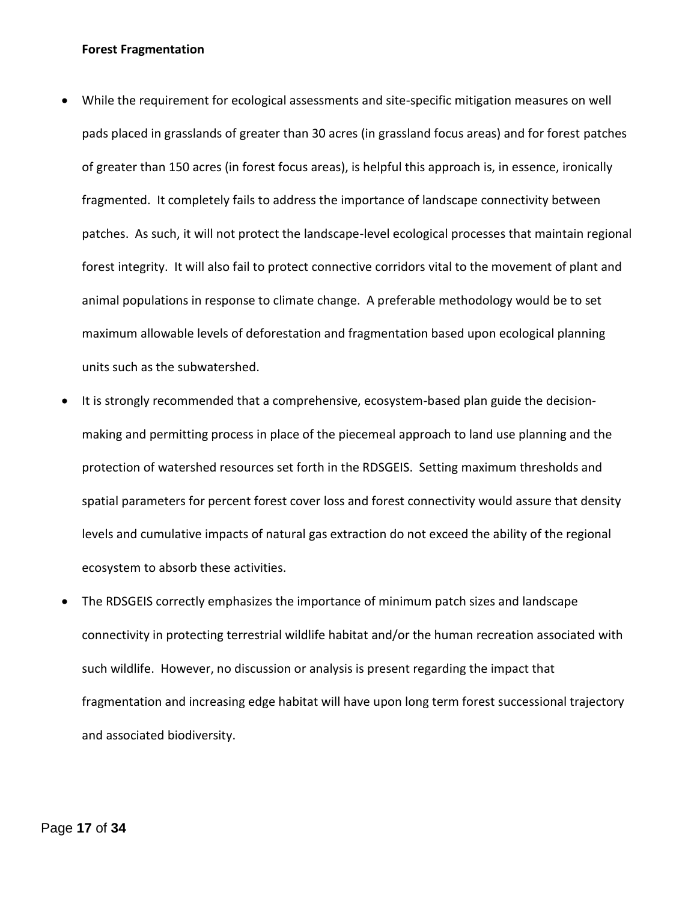#### **Forest Fragmentation**

- While the requirement for ecological assessments and site-specific mitigation measures on well pads placed in grasslands of greater than 30 acres (in grassland focus areas) and for forest patches of greater than 150 acres (in forest focus areas), is helpful this approach is, in essence, ironically fragmented. It completely fails to address the importance of landscape connectivity between patches. As such, it will not protect the landscape-level ecological processes that maintain regional forest integrity. It will also fail to protect connective corridors vital to the movement of plant and animal populations in response to climate change. A preferable methodology would be to set maximum allowable levels of deforestation and fragmentation based upon ecological planning units such as the subwatershed.
- It is strongly recommended that a comprehensive, ecosystem-based plan guide the decisionmaking and permitting process in place of the piecemeal approach to land use planning and the protection of watershed resources set forth in the RDSGEIS. Setting maximum thresholds and spatial parameters for percent forest cover loss and forest connectivity would assure that density levels and cumulative impacts of natural gas extraction do not exceed the ability of the regional ecosystem to absorb these activities.
- The RDSGEIS correctly emphasizes the importance of minimum patch sizes and landscape connectivity in protecting terrestrial wildlife habitat and/or the human recreation associated with such wildlife. However, no discussion or analysis is present regarding the impact that fragmentation and increasing edge habitat will have upon long term forest successional trajectory and associated biodiversity.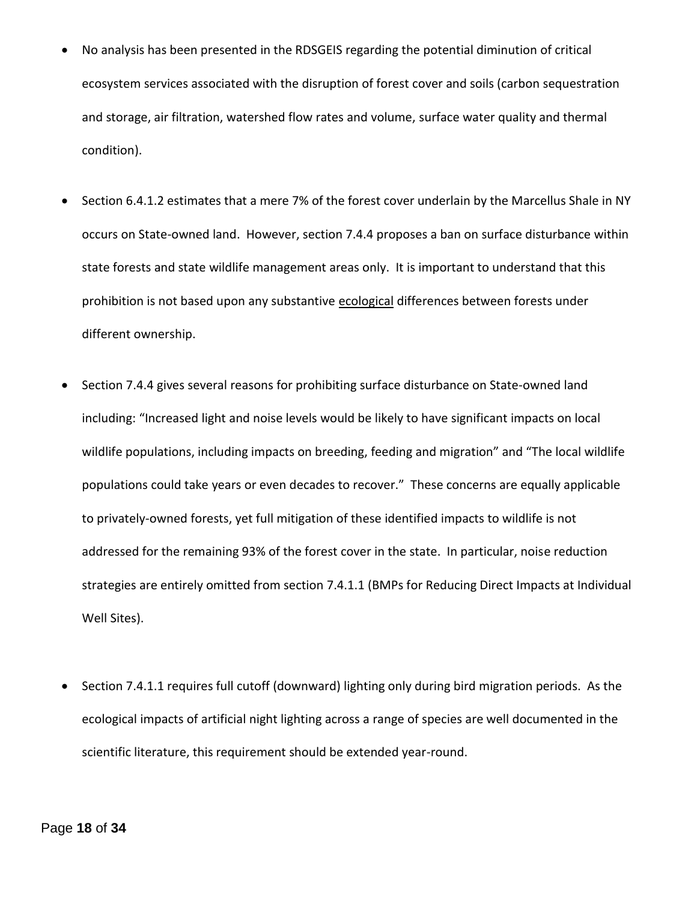- No analysis has been presented in the RDSGEIS regarding the potential diminution of critical ecosystem services associated with the disruption of forest cover and soils (carbon sequestration and storage, air filtration, watershed flow rates and volume, surface water quality and thermal condition).
- Section 6.4.1.2 estimates that a mere 7% of the forest cover underlain by the Marcellus Shale in NY occurs on State-owned land. However, section 7.4.4 proposes a ban on surface disturbance within state forests and state wildlife management areas only. It is important to understand that this prohibition is not based upon any substantive ecological differences between forests under different ownership.
- Section 7.4.4 gives several reasons for prohibiting surface disturbance on State-owned land including: "Increased light and noise levels would be likely to have significant impacts on local wildlife populations, including impacts on breeding, feeding and migration" and "The local wildlife populations could take years or even decades to recover." These concerns are equally applicable to privately-owned forests, yet full mitigation of these identified impacts to wildlife is not addressed for the remaining 93% of the forest cover in the state. In particular, noise reduction strategies are entirely omitted from section 7.4.1.1 (BMPs for Reducing Direct Impacts at Individual Well Sites).
- Section 7.4.1.1 requires full cutoff (downward) lighting only during bird migration periods. As the ecological impacts of artificial night lighting across a range of species are well documented in the scientific literature, this requirement should be extended year-round.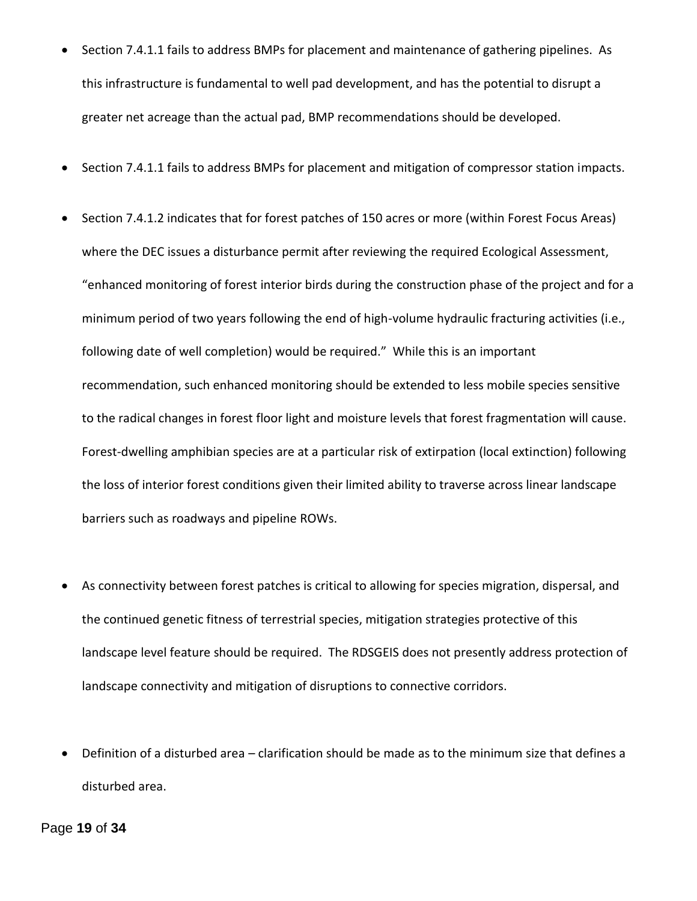- Section 7.4.1.1 fails to address BMPs for placement and maintenance of gathering pipelines. As this infrastructure is fundamental to well pad development, and has the potential to disrupt a greater net acreage than the actual pad, BMP recommendations should be developed.
- Section 7.4.1.1 fails to address BMPs for placement and mitigation of compressor station impacts.
- Section 7.4.1.2 indicates that for forest patches of 150 acres or more (within Forest Focus Areas) where the DEC issues a disturbance permit after reviewing the required Ecological Assessment, "enhanced monitoring of forest interior birds during the construction phase of the project and for a minimum period of two years following the end of high-volume hydraulic fracturing activities (i.e., following date of well completion) would be required." While this is an important recommendation, such enhanced monitoring should be extended to less mobile species sensitive to the radical changes in forest floor light and moisture levels that forest fragmentation will cause. Forest-dwelling amphibian species are at a particular risk of extirpation (local extinction) following the loss of interior forest conditions given their limited ability to traverse across linear landscape barriers such as roadways and pipeline ROWs.
- As connectivity between forest patches is critical to allowing for species migration, dispersal, and the continued genetic fitness of terrestrial species, mitigation strategies protective of this landscape level feature should be required. The RDSGEIS does not presently address protection of landscape connectivity and mitigation of disruptions to connective corridors.
- Definition of a disturbed area clarification should be made as to the minimum size that defines a disturbed area.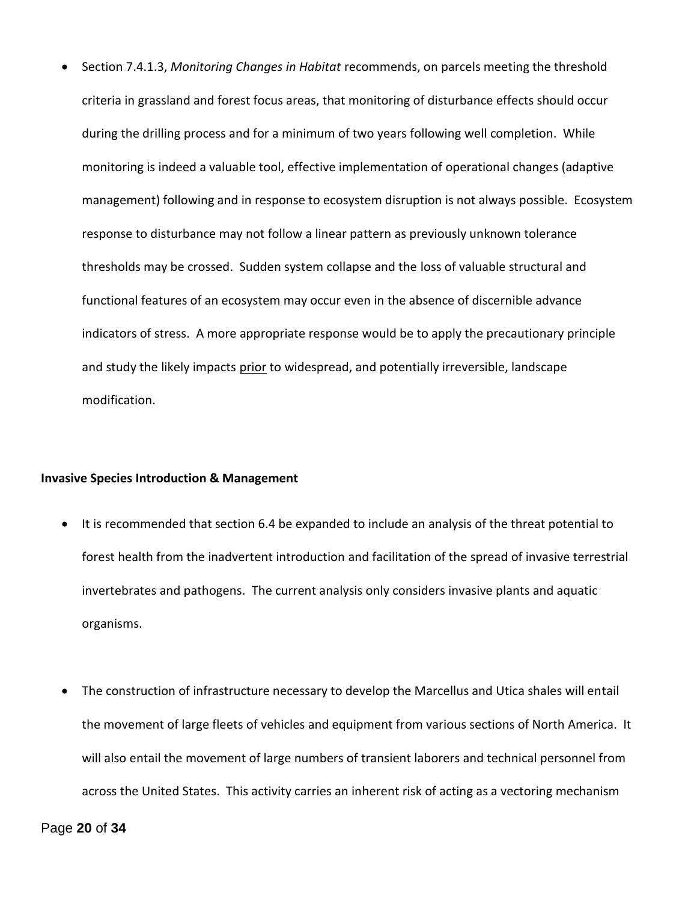Section 7.4.1.3, *Monitoring Changes in Habitat* recommends, on parcels meeting the threshold criteria in grassland and forest focus areas, that monitoring of disturbance effects should occur during the drilling process and for a minimum of two years following well completion. While monitoring is indeed a valuable tool, effective implementation of operational changes (adaptive management) following and in response to ecosystem disruption is not always possible. Ecosystem response to disturbance may not follow a linear pattern as previously unknown tolerance thresholds may be crossed. Sudden system collapse and the loss of valuable structural and functional features of an ecosystem may occur even in the absence of discernible advance indicators of stress. A more appropriate response would be to apply the precautionary principle and study the likely impacts prior to widespread, and potentially irreversible, landscape modification.

#### **Invasive Species Introduction & Management**

- It is recommended that section 6.4 be expanded to include an analysis of the threat potential to forest health from the inadvertent introduction and facilitation of the spread of invasive terrestrial invertebrates and pathogens. The current analysis only considers invasive plants and aquatic organisms.
- The construction of infrastructure necessary to develop the Marcellus and Utica shales will entail the movement of large fleets of vehicles and equipment from various sections of North America. It will also entail the movement of large numbers of transient laborers and technical personnel from across the United States. This activity carries an inherent risk of acting as a vectoring mechanism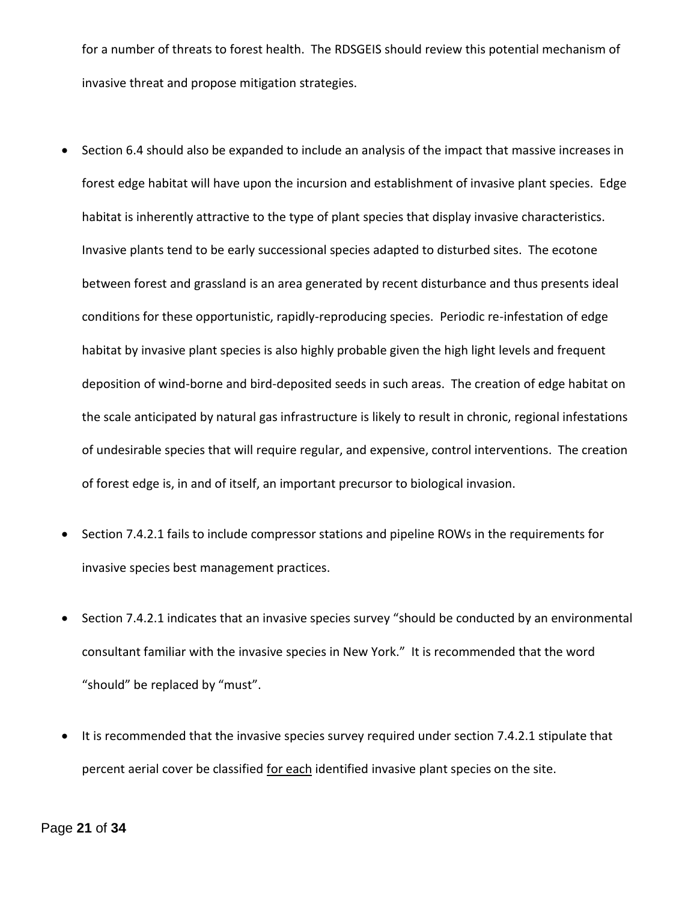for a number of threats to forest health. The RDSGEIS should review this potential mechanism of invasive threat and propose mitigation strategies.

- Section 6.4 should also be expanded to include an analysis of the impact that massive increases in forest edge habitat will have upon the incursion and establishment of invasive plant species. Edge habitat is inherently attractive to the type of plant species that display invasive characteristics. Invasive plants tend to be early successional species adapted to disturbed sites. The ecotone between forest and grassland is an area generated by recent disturbance and thus presents ideal conditions for these opportunistic, rapidly-reproducing species. Periodic re-infestation of edge habitat by invasive plant species is also highly probable given the high light levels and frequent deposition of wind-borne and bird-deposited seeds in such areas. The creation of edge habitat on the scale anticipated by natural gas infrastructure is likely to result in chronic, regional infestations of undesirable species that will require regular, and expensive, control interventions. The creation of forest edge is, in and of itself, an important precursor to biological invasion.
- Section 7.4.2.1 fails to include compressor stations and pipeline ROWs in the requirements for invasive species best management practices.
- Section 7.4.2.1 indicates that an invasive species survey "should be conducted by an environmental consultant familiar with the invasive species in New York." It is recommended that the word "should" be replaced by "must".
- It is recommended that the invasive species survey required under section 7.4.2.1 stipulate that percent aerial cover be classified for each identified invasive plant species on the site.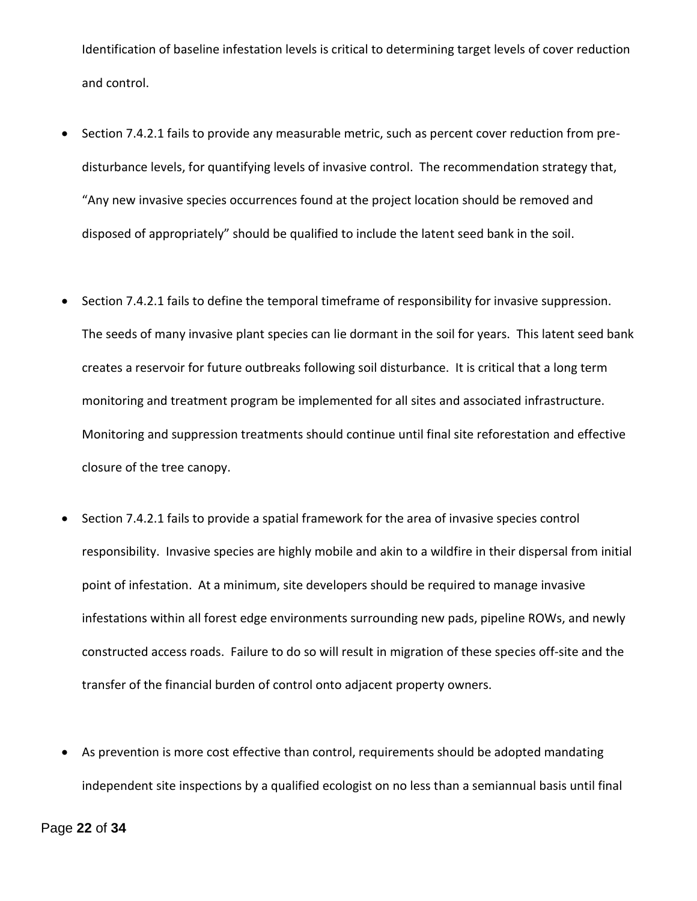Identification of baseline infestation levels is critical to determining target levels of cover reduction and control.

- Section 7.4.2.1 fails to provide any measurable metric, such as percent cover reduction from predisturbance levels, for quantifying levels of invasive control. The recommendation strategy that, "Any new invasive species occurrences found at the project location should be removed and disposed of appropriately" should be qualified to include the latent seed bank in the soil.
- Section 7.4.2.1 fails to define the temporal timeframe of responsibility for invasive suppression. The seeds of many invasive plant species can lie dormant in the soil for years. This latent seed bank creates a reservoir for future outbreaks following soil disturbance. It is critical that a long term monitoring and treatment program be implemented for all sites and associated infrastructure. Monitoring and suppression treatments should continue until final site reforestation and effective closure of the tree canopy.
- Section 7.4.2.1 fails to provide a spatial framework for the area of invasive species control responsibility. Invasive species are highly mobile and akin to a wildfire in their dispersal from initial point of infestation. At a minimum, site developers should be required to manage invasive infestations within all forest edge environments surrounding new pads, pipeline ROWs, and newly constructed access roads. Failure to do so will result in migration of these species off-site and the transfer of the financial burden of control onto adjacent property owners.
- As prevention is more cost effective than control, requirements should be adopted mandating independent site inspections by a qualified ecologist on no less than a semiannual basis until final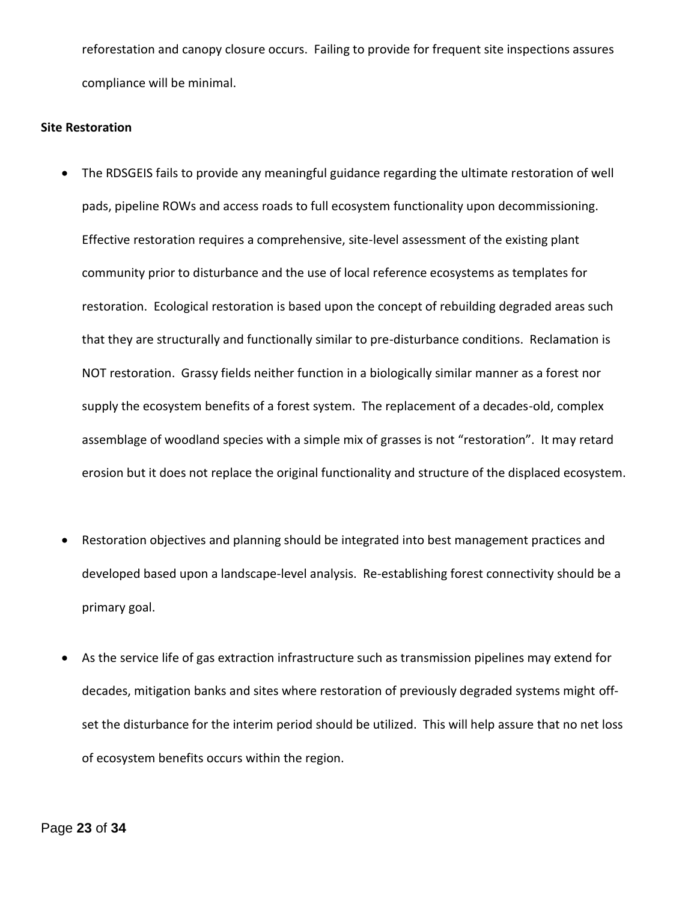reforestation and canopy closure occurs. Failing to provide for frequent site inspections assures compliance will be minimal.

#### **Site Restoration**

- The RDSGEIS fails to provide any meaningful guidance regarding the ultimate restoration of well pads, pipeline ROWs and access roads to full ecosystem functionality upon decommissioning. Effective restoration requires a comprehensive, site-level assessment of the existing plant community prior to disturbance and the use of local reference ecosystems as templates for restoration. Ecological restoration is based upon the concept of rebuilding degraded areas such that they are structurally and functionally similar to pre-disturbance conditions. Reclamation is NOT restoration. Grassy fields neither function in a biologically similar manner as a forest nor supply the ecosystem benefits of a forest system. The replacement of a decades-old, complex assemblage of woodland species with a simple mix of grasses is not "restoration". It may retard erosion but it does not replace the original functionality and structure of the displaced ecosystem.
- Restoration objectives and planning should be integrated into best management practices and developed based upon a landscape-level analysis. Re-establishing forest connectivity should be a primary goal.
- As the service life of gas extraction infrastructure such as transmission pipelines may extend for decades, mitigation banks and sites where restoration of previously degraded systems might offset the disturbance for the interim period should be utilized. This will help assure that no net loss of ecosystem benefits occurs within the region.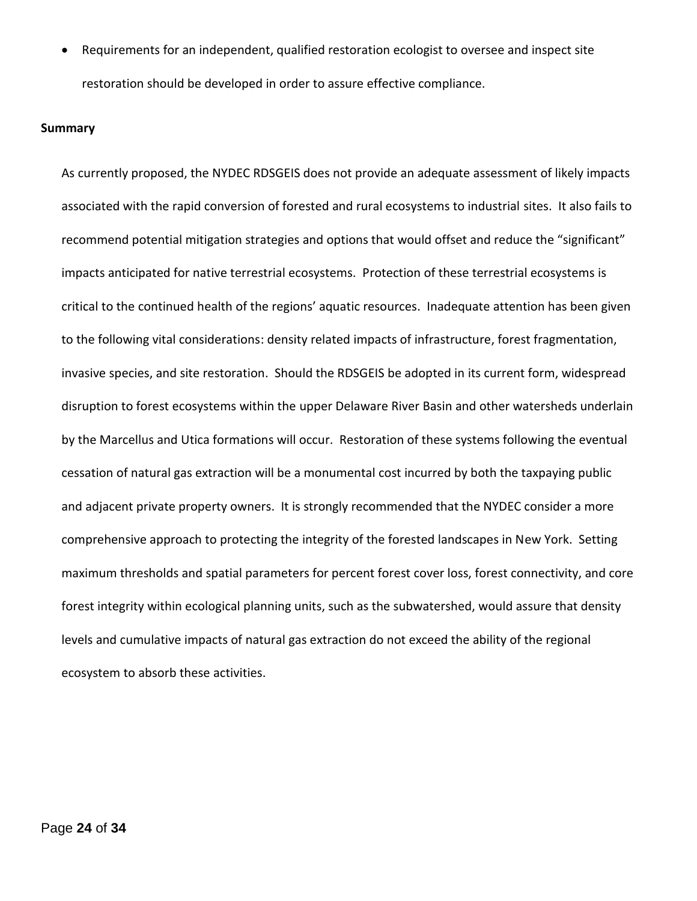Requirements for an independent, qualified restoration ecologist to oversee and inspect site restoration should be developed in order to assure effective compliance.

#### **Summary**

As currently proposed, the NYDEC RDSGEIS does not provide an adequate assessment of likely impacts associated with the rapid conversion of forested and rural ecosystems to industrial sites. It also fails to recommend potential mitigation strategies and options that would offset and reduce the "significant" impacts anticipated for native terrestrial ecosystems. Protection of these terrestrial ecosystems is critical to the continued health of the regions' aquatic resources. Inadequate attention has been given to the following vital considerations: density related impacts of infrastructure, forest fragmentation, invasive species, and site restoration. Should the RDSGEIS be adopted in its current form, widespread disruption to forest ecosystems within the upper Delaware River Basin and other watersheds underlain by the Marcellus and Utica formations will occur. Restoration of these systems following the eventual cessation of natural gas extraction will be a monumental cost incurred by both the taxpaying public and adjacent private property owners. It is strongly recommended that the NYDEC consider a more comprehensive approach to protecting the integrity of the forested landscapes in New York. Setting maximum thresholds and spatial parameters for percent forest cover loss, forest connectivity, and core forest integrity within ecological planning units, such as the subwatershed, would assure that density levels and cumulative impacts of natural gas extraction do not exceed the ability of the regional ecosystem to absorb these activities.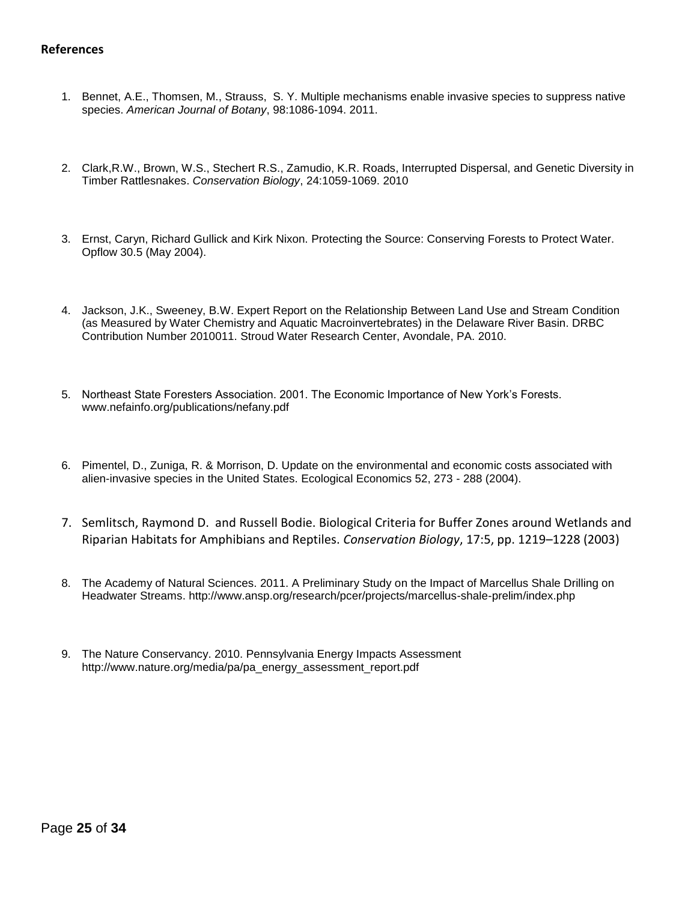#### **References**

- 1. Bennet, A.E., Thomsen, M., Strauss, S. Y. Multiple mechanisms enable invasive species to suppress native species. *American Journal of Botany*, 98:1086-1094. 2011.
- 2. Clark,R.W., Brown, W.S., Stechert R.S., Zamudio, K.R. Roads, Interrupted Dispersal, and Genetic Diversity in Timber Rattlesnakes. *Conservation Biology*, 24:1059-1069. 2010
- 3. Ernst, Caryn, Richard Gullick and Kirk Nixon. Protecting the Source: Conserving Forests to Protect Water. Opflow 30.5 (May 2004).
- 4. Jackson, J.K., Sweeney, B.W. Expert Report on the Relationship Between Land Use and Stream Condition (as Measured by Water Chemistry and Aquatic Macroinvertebrates) in the Delaware River Basin. DRBC Contribution Number 2010011. Stroud Water Research Center, Avondale, PA. 2010.
- 5. Northeast State Foresters Association. 2001. The Economic Importance of New York's Forests. www.nefainfo.org/publications/nefany.pdf
- 6. Pimentel, D., Zuniga, R. & Morrison, D. Update on the environmental and economic costs associated with alien-invasive species in the United States. Ecological Economics 52, 273 - 288 (2004).
- 7. Semlitsch, Raymond D. and Russell Bodie. Biological Criteria for Buffer Zones around Wetlands and Riparian Habitats for Amphibians and Reptiles. *Conservation Biology*, 17:5, pp. 1219–1228 (2003)
- 8. The Academy of Natural Sciences. 2011. A Preliminary Study on the Impact of Marcellus Shale Drilling on Headwater Streams. http://www.ansp.org/research/pcer/projects/marcellus-shale-prelim/index.php
- 9. The Nature Conservancy. 2010. Pennsylvania Energy Impacts Assessment http://www.nature.org/media/pa/pa\_energy\_assessment\_report.pdf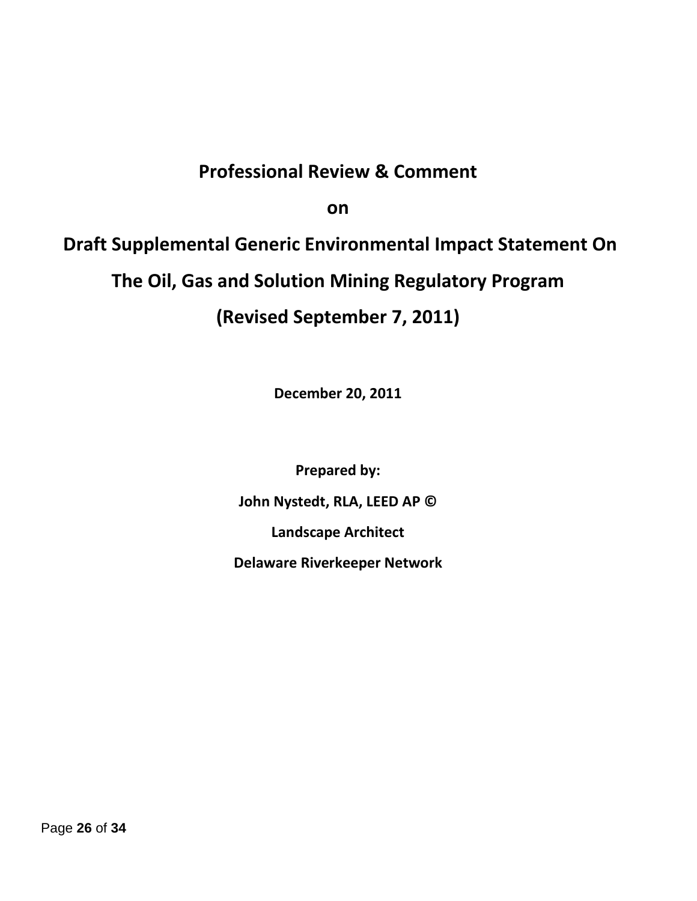# **Professional Review & Comment**

**on**

**Draft Supplemental Generic Environmental Impact Statement On The Oil, Gas and Solution Mining Regulatory Program (Revised September 7, 2011)**

**December 20, 2011**

**Prepared by: John Nystedt, RLA, LEED AP © Landscape Architect Delaware Riverkeeper Network**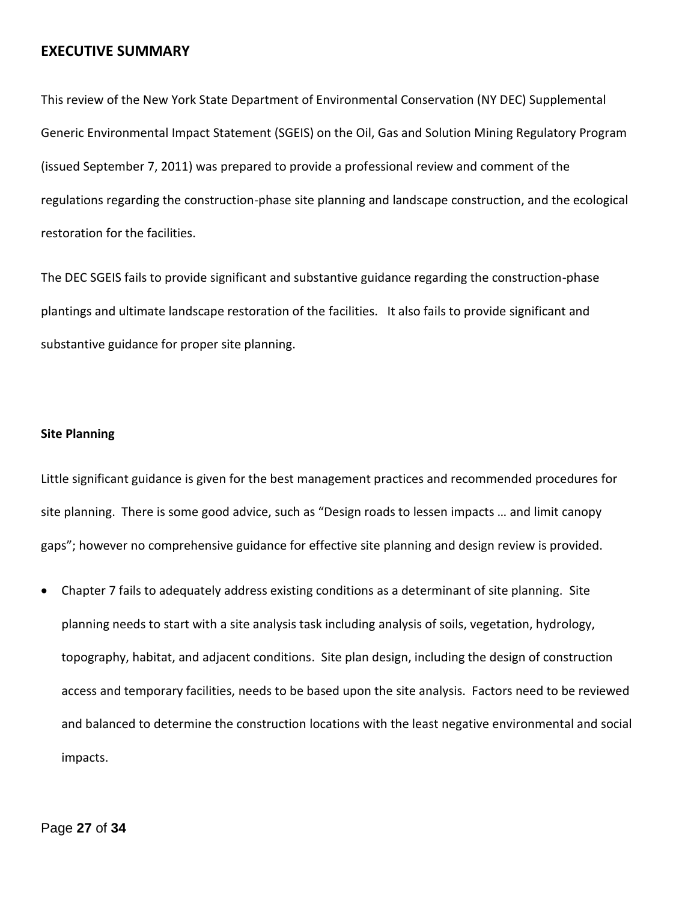## **EXECUTIVE SUMMARY**

This review of the New York State Department of Environmental Conservation (NY DEC) Supplemental Generic Environmental Impact Statement (SGEIS) on the Oil, Gas and Solution Mining Regulatory Program (issued September 7, 2011) was prepared to provide a professional review and comment of the regulations regarding the construction-phase site planning and landscape construction, and the ecological restoration for the facilities.

The DEC SGEIS fails to provide significant and substantive guidance regarding the construction-phase plantings and ultimate landscape restoration of the facilities. It also fails to provide significant and substantive guidance for proper site planning.

#### **Site Planning**

Little significant guidance is given for the best management practices and recommended procedures for site planning. There is some good advice, such as "Design roads to lessen impacts … and limit canopy gaps"; however no comprehensive guidance for effective site planning and design review is provided.

 Chapter 7 fails to adequately address existing conditions as a determinant of site planning. Site planning needs to start with a site analysis task including analysis of soils, vegetation, hydrology, topography, habitat, and adjacent conditions. Site plan design, including the design of construction access and temporary facilities, needs to be based upon the site analysis. Factors need to be reviewed and balanced to determine the construction locations with the least negative environmental and social impacts.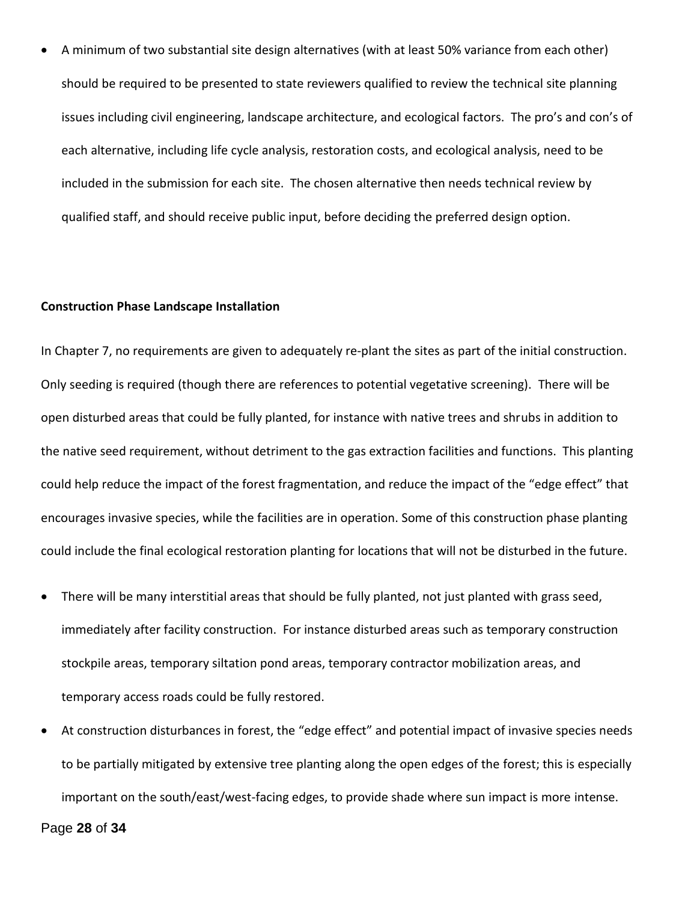A minimum of two substantial site design alternatives (with at least 50% variance from each other) should be required to be presented to state reviewers qualified to review the technical site planning issues including civil engineering, landscape architecture, and ecological factors. The pro's and con's of each alternative, including life cycle analysis, restoration costs, and ecological analysis, need to be included in the submission for each site. The chosen alternative then needs technical review by qualified staff, and should receive public input, before deciding the preferred design option.

#### **Construction Phase Landscape Installation**

In Chapter 7, no requirements are given to adequately re-plant the sites as part of the initial construction. Only seeding is required (though there are references to potential vegetative screening). There will be open disturbed areas that could be fully planted, for instance with native trees and shrubs in addition to the native seed requirement, without detriment to the gas extraction facilities and functions. This planting could help reduce the impact of the forest fragmentation, and reduce the impact of the "edge effect" that encourages invasive species, while the facilities are in operation. Some of this construction phase planting could include the final ecological restoration planting for locations that will not be disturbed in the future.

- There will be many interstitial areas that should be fully planted, not just planted with grass seed, immediately after facility construction. For instance disturbed areas such as temporary construction stockpile areas, temporary siltation pond areas, temporary contractor mobilization areas, and temporary access roads could be fully restored.
- At construction disturbances in forest, the "edge effect" and potential impact of invasive species needs to be partially mitigated by extensive tree planting along the open edges of the forest; this is especially important on the south/east/west-facing edges, to provide shade where sun impact is more intense.

Page **28** of **34**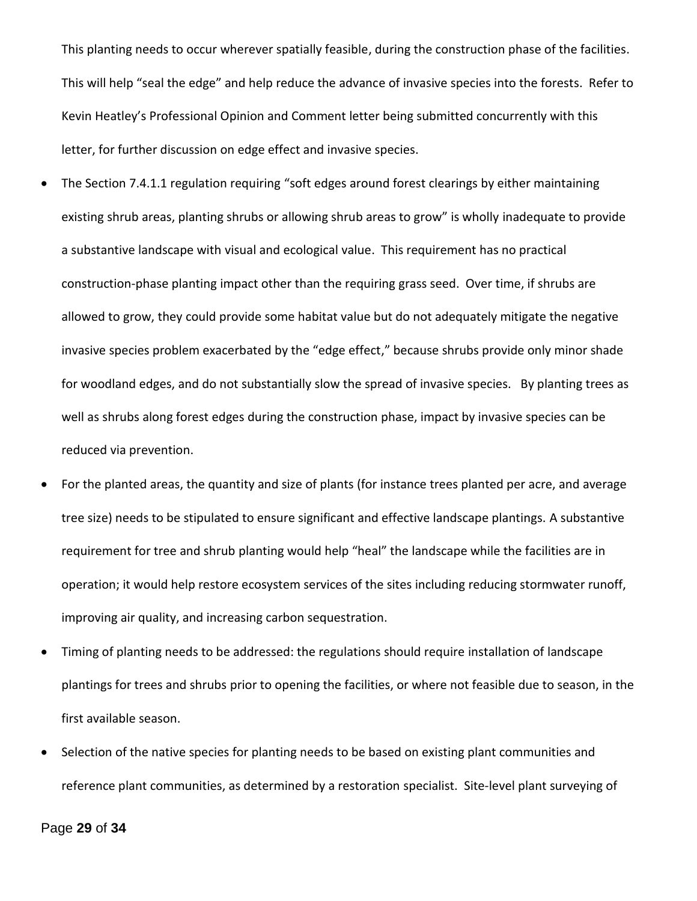This planting needs to occur wherever spatially feasible, during the construction phase of the facilities. This will help "seal the edge" and help reduce the advance of invasive species into the forests. Refer to Kevin Heatley's Professional Opinion and Comment letter being submitted concurrently with this letter, for further discussion on edge effect and invasive species.

- The Section 7.4.1.1 regulation requiring "soft edges around forest clearings by either maintaining existing shrub areas, planting shrubs or allowing shrub areas to grow" is wholly inadequate to provide a substantive landscape with visual and ecological value. This requirement has no practical construction-phase planting impact other than the requiring grass seed. Over time, if shrubs are allowed to grow, they could provide some habitat value but do not adequately mitigate the negative invasive species problem exacerbated by the "edge effect," because shrubs provide only minor shade for woodland edges, and do not substantially slow the spread of invasive species. By planting trees as well as shrubs along forest edges during the construction phase, impact by invasive species can be reduced via prevention.
- For the planted areas, the quantity and size of plants (for instance trees planted per acre, and average tree size) needs to be stipulated to ensure significant and effective landscape plantings. A substantive requirement for tree and shrub planting would help "heal" the landscape while the facilities are in operation; it would help restore ecosystem services of the sites including reducing stormwater runoff, improving air quality, and increasing carbon sequestration.
- Timing of planting needs to be addressed: the regulations should require installation of landscape plantings for trees and shrubs prior to opening the facilities, or where not feasible due to season, in the first available season.
- Selection of the native species for planting needs to be based on existing plant communities and reference plant communities, as determined by a restoration specialist. Site-level plant surveying of

Page **29** of **34**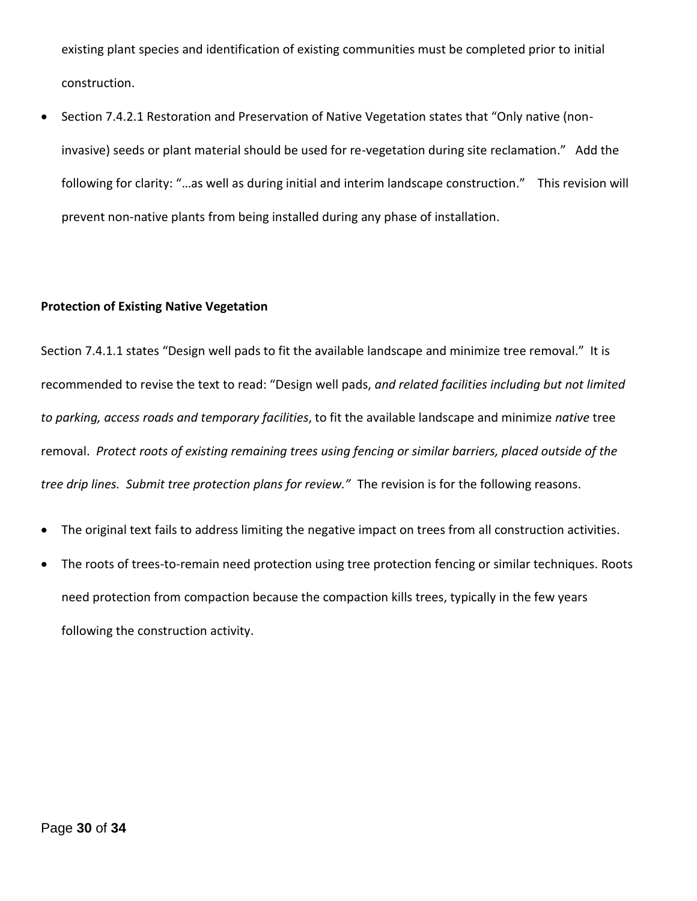existing plant species and identification of existing communities must be completed prior to initial construction.

 Section 7.4.2.1 Restoration and Preservation of Native Vegetation states that "Only native (noninvasive) seeds or plant material should be used for re-vegetation during site reclamation." Add the following for clarity: "…as well as during initial and interim landscape construction." This revision will prevent non-native plants from being installed during any phase of installation.

### **Protection of Existing Native Vegetation**

Section 7.4.1.1 states "Design well pads to fit the available landscape and minimize tree removal." It is recommended to revise the text to read: "Design well pads, *and related facilities including but not limited to parking, access roads and temporary facilities*, to fit the available landscape and minimize *native* tree removal. *Protect roots of existing remaining trees using fencing or similar barriers, placed outside of the tree drip lines. Submit tree protection plans for review."* The revision is for the following reasons.

- The original text fails to address limiting the negative impact on trees from all construction activities.
- The roots of trees-to-remain need protection using tree protection fencing or similar techniques. Roots need protection from compaction because the compaction kills trees, typically in the few years following the construction activity.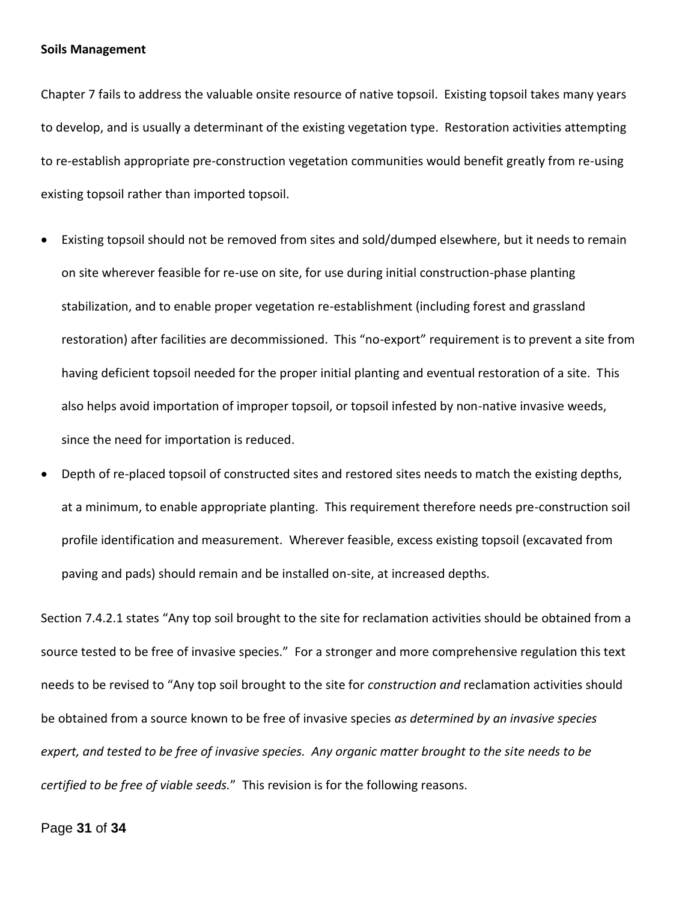#### **Soils Management**

Chapter 7 fails to address the valuable onsite resource of native topsoil. Existing topsoil takes many years to develop, and is usually a determinant of the existing vegetation type. Restoration activities attempting to re-establish appropriate pre-construction vegetation communities would benefit greatly from re-using existing topsoil rather than imported topsoil.

- Existing topsoil should not be removed from sites and sold/dumped elsewhere, but it needs to remain on site wherever feasible for re-use on site, for use during initial construction-phase planting stabilization, and to enable proper vegetation re-establishment (including forest and grassland restoration) after facilities are decommissioned. This "no-export" requirement is to prevent a site from having deficient topsoil needed for the proper initial planting and eventual restoration of a site. This also helps avoid importation of improper topsoil, or topsoil infested by non-native invasive weeds, since the need for importation is reduced.
- Depth of re-placed topsoil of constructed sites and restored sites needs to match the existing depths, at a minimum, to enable appropriate planting. This requirement therefore needs pre-construction soil profile identification and measurement. Wherever feasible, excess existing topsoil (excavated from paving and pads) should remain and be installed on-site, at increased depths.

Section 7.4.2.1 states "Any top soil brought to the site for reclamation activities should be obtained from a source tested to be free of invasive species." For a stronger and more comprehensive regulation this text needs to be revised to "Any top soil brought to the site for *construction and* reclamation activities should be obtained from a source known to be free of invasive species *as determined by an invasive species expert, and tested to be free of invasive species. Any organic matter brought to the site needs to be certified to be free of viable seeds.*" This revision is for the following reasons.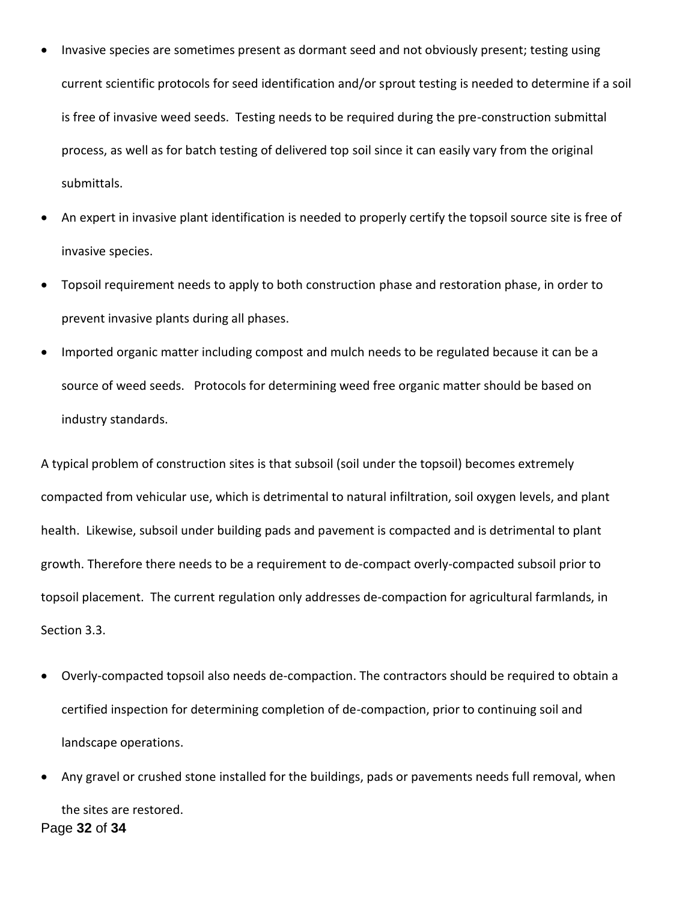- Invasive species are sometimes present as dormant seed and not obviously present; testing using current scientific protocols for seed identification and/or sprout testing is needed to determine if a soil is free of invasive weed seeds. Testing needs to be required during the pre-construction submittal process, as well as for batch testing of delivered top soil since it can easily vary from the original submittals.
- An expert in invasive plant identification is needed to properly certify the topsoil source site is free of invasive species.
- Topsoil requirement needs to apply to both construction phase and restoration phase, in order to prevent invasive plants during all phases.
- Imported organic matter including compost and mulch needs to be regulated because it can be a source of weed seeds. Protocols for determining weed free organic matter should be based on industry standards.

A typical problem of construction sites is that subsoil (soil under the topsoil) becomes extremely compacted from vehicular use, which is detrimental to natural infiltration, soil oxygen levels, and plant health. Likewise, subsoil under building pads and pavement is compacted and is detrimental to plant growth. Therefore there needs to be a requirement to de-compact overly-compacted subsoil prior to topsoil placement. The current regulation only addresses de-compaction for agricultural farmlands, in Section 3.3.

- Overly-compacted topsoil also needs de-compaction. The contractors should be required to obtain a certified inspection for determining completion of de-compaction, prior to continuing soil and landscape operations.
- Page **32** of **34** Any gravel or crushed stone installed for the buildings, pads or pavements needs full removal, when the sites are restored.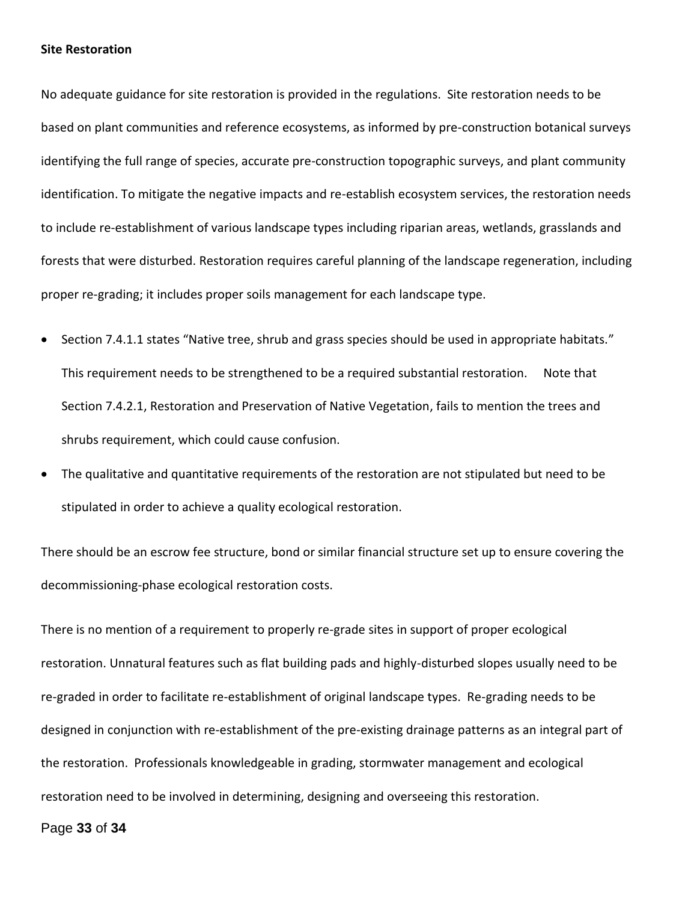#### **Site Restoration**

No adequate guidance for site restoration is provided in the regulations. Site restoration needs to be based on plant communities and reference ecosystems, as informed by pre-construction botanical surveys identifying the full range of species, accurate pre-construction topographic surveys, and plant community identification. To mitigate the negative impacts and re-establish ecosystem services, the restoration needs to include re-establishment of various landscape types including riparian areas, wetlands, grasslands and forests that were disturbed. Restoration requires careful planning of the landscape regeneration, including proper re-grading; it includes proper soils management for each landscape type.

- Section 7.4.1.1 states "Native tree, shrub and grass species should be used in appropriate habitats." This requirement needs to be strengthened to be a required substantial restoration. Note that Section 7.4.2.1, Restoration and Preservation of Native Vegetation, fails to mention the trees and shrubs requirement, which could cause confusion.
- The qualitative and quantitative requirements of the restoration are not stipulated but need to be stipulated in order to achieve a quality ecological restoration.

There should be an escrow fee structure, bond or similar financial structure set up to ensure covering the decommissioning-phase ecological restoration costs.

There is no mention of a requirement to properly re-grade sites in support of proper ecological restoration. Unnatural features such as flat building pads and highly-disturbed slopes usually need to be re-graded in order to facilitate re-establishment of original landscape types. Re-grading needs to be designed in conjunction with re-establishment of the pre-existing drainage patterns as an integral part of the restoration. Professionals knowledgeable in grading, stormwater management and ecological restoration need to be involved in determining, designing and overseeing this restoration.

Page **33** of **34**